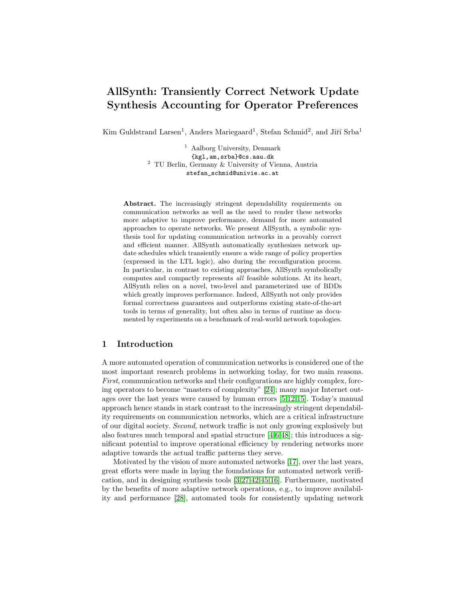# AllSynth: Transiently Correct Network Update Synthesis Accounting for Operator Preferences

Kim Guldstrand Larsen<sup>1</sup>, Anders Mariegaard<sup>1</sup>, Stefan Schmid<sup>2</sup>, and Jiří Srba<sup>1</sup>

<sup>1</sup> Aalborg University, Denmark {kgl,am,srba}@cs.aau.dk <sup>2</sup> TU Berlin, Germany & University of Vienna, Austria stefan\_schmid@univie.ac.at

Abstract. The increasingly stringent dependability requirements on communication networks as well as the need to render these networks more adaptive to improve performance, demand for more automated approaches to operate networks. We present AllSynth, a symbolic synthesis tool for updating communication networks in a provably correct and efficient manner. AllSynth automatically synthesizes network update schedules which transiently ensure a wide range of policy properties (expressed in the LTL logic), also during the reconfiguration process. In particular, in contrast to existing approaches, AllSynth symbolically computes and compactly represents all feasible solutions. At its heart, AllSynth relies on a novel, two-level and parameterized use of BDDs which greatly improves performance. Indeed, AllSynth not only provides formal correctness guarantees and outperforms existing state-of-the-art tools in terms of generality, but often also in terms of runtime as documented by experiments on a benchmark of real-world network topologies.

## 1 Introduction

A more automated operation of communication networks is considered one of the most important research problems in networking today, for two main reasons. First, communication networks and their configurations are highly complex, forcing operators to become "masters of complexity" [\[24\]](#page-17-0); many major Internet outages over the last years were caused by human errors [\[5,](#page-16-0)[12,](#page-16-1)[15\]](#page-16-2). Today's manual approach hence stands in stark contrast to the increasingly stringent dependability requirements on communication networks, which are a critical infrastructure of our digital society. Second, network traffic is not only growing explosively but also features much temporal and spatial structure [\[4,](#page-16-3)[6,](#page-16-4)[48\]](#page-18-0); this introduces a significant potential to improve operational efficiency by rendering networks more adaptive towards the actual traffic patterns they serve.

Motivated by the vision of more automated networks [\[17\]](#page-17-1), over the last years, great efforts were made in laying the foundations for automated network verification, and in designing synthesis tools [\[3,](#page-16-5)[27](#page-17-2)[,42,](#page-18-1)[45,](#page-18-2)[16\]](#page-16-6). Furthermore, motivated by the benefits of more adaptive network operations, e.g., to improve availability and performance [\[28\]](#page-17-3), automated tools for consistently updating network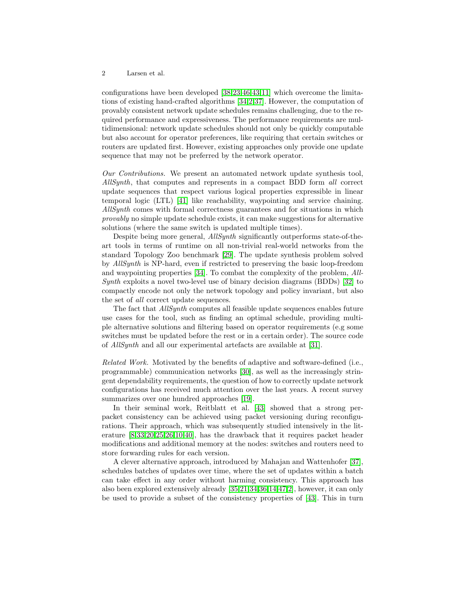configurations have been developed [\[38,](#page-18-3)[23,](#page-17-4)[46,](#page-18-4)[43,](#page-18-5)[11\]](#page-16-7) which overcome the limitations of existing hand-crafted algorithms [\[34,](#page-18-6)[2,](#page-16-8)[37\]](#page-18-7). However, the computation of provably consistent network update schedules remains challenging, due to the required performance and expressiveness. The performance requirements are multidimensional: network update schedules should not only be quickly computable but also account for operator preferences, like requiring that certain switches or routers are updated first. However, existing approaches only provide one update sequence that may not be preferred by the network operator.

Our Contributions. We present an automated network update synthesis tool, AllSynth, that computes and represents in a compact BDD form all correct update sequences that respect various logical properties expressible in linear temporal logic (LTL) [\[41\]](#page-18-8) like reachability, waypointing and service chaining. AllSynth comes with formal correctness guarantees and for situations in which provably no simple update schedule exists, it can make suggestions for alternative solutions (where the same switch is updated multiple times).

Despite being more general, AllSynth significantly outperforms state-of-theart tools in terms of runtime on all non-trivial real-world networks from the standard Topology Zoo benchmark [\[29\]](#page-17-5). The update synthesis problem solved by AllSynth is NP-hard, even if restricted to preserving the basic loop-freedom and waypointing properties [\[34\]](#page-18-6). To combat the complexity of the problem, All-Synth exploits a novel two-level use of binary decision diagrams (BDDs) [\[32\]](#page-17-6) to compactly encode not only the network topology and policy invariant, but also the set of all correct update sequences.

The fact that AllSynth computes all feasible update sequences enables future use cases for the tool, such as finding an optimal schedule, providing multiple alternative solutions and filtering based on operator requirements (e.g some switches must be updated before the rest or in a certain order). The source code of AllSynth and all our experimental artefacts are available at [\[31\]](#page-17-7).

Related Work. Motivated by the benefits of adaptive and software-defined (i.e., programmable) communication networks [\[30\]](#page-17-8), as well as the increasingly stringent dependability requirements, the question of how to correctly update network configurations has received much attention over the last years. A recent survey summarizes over one hundred approaches [\[19\]](#page-17-9).

In their seminal work, Reitblatt et al. [\[43\]](#page-18-5) showed that a strong perpacket consistency can be achieved using packet versioning during reconfigurations. Their approach, which was subsequently studied intensively in the literature [\[8,](#page-16-9)[33](#page-18-9)[,20](#page-17-10)[,25,](#page-17-11)[26,](#page-17-12)[10,](#page-16-10)[40\]](#page-18-10), has the drawback that it requires packet header modifications and additional memory at the nodes: switches and routers need to store forwarding rules for each version.

A clever alternative approach, introduced by Mahajan and Wattenhofer [\[37\]](#page-18-7), schedules batches of updates over time, where the set of updates within a batch can take effect in any order without harming consistency. This approach has also been explored extensively already [\[35,](#page-18-11)[21](#page-17-13)[,34,](#page-18-6)[36,](#page-18-12)[14,](#page-16-11)[47,](#page-18-13)[2\]](#page-16-8), however, it can only be used to provide a subset of the consistency properties of [\[43\]](#page-18-5). This in turn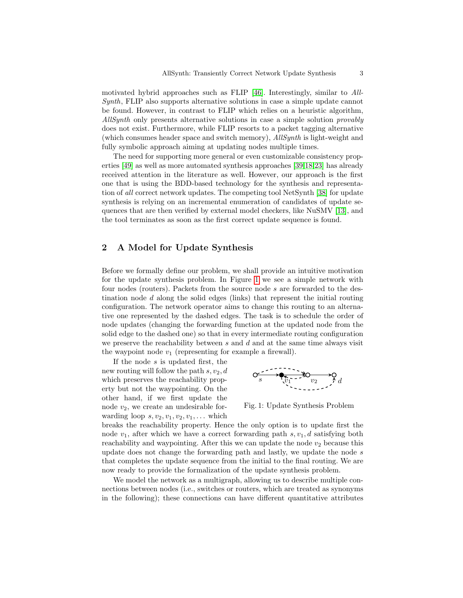motivated hybrid approaches such as FLIP [\[46\]](#page-18-4). Interestingly, similar to All-Synth, FLIP also supports alternative solutions in case a simple update cannot be found. However, in contrast to FLIP which relies on a heuristic algorithm, AllSynth only presents alternative solutions in case a simple solution provably does not exist. Furthermore, while FLIP resorts to a packet tagging alternative (which consumes header space and switch memory), AllSynth is light-weight and fully symbolic approach aiming at updating nodes multiple times.

The need for supporting more general or even customizable consistency properties [\[49\]](#page-19-0) as well as more automated synthesis approaches [\[39,](#page-18-14)[18,](#page-17-14)[23\]](#page-17-4) has already received attention in the literature as well. However, our approach is the first one that is using the BDD-based technology for the synthesis and representation of all correct network updates. The competing tool NetSynth [\[38\]](#page-18-3) for update synthesis is relying on an incremental enumeration of candidates of update sequences that are then verified by external model checkers, like NuSMV [\[13\]](#page-16-12), and the tool terminates as soon as the first correct update sequence is found.

## <span id="page-2-1"></span>2 A Model for Update Synthesis

Before we formally define our problem, we shall provide an intuitive motivation for the update synthesis problem. In Figure [1](#page-2-0) we see a simple network with four nodes (routers). Packets from the source node s are forwarded to the destination node d along the solid edges (links) that represent the initial routing configuration. The network operator aims to change this routing to an alternative one represented by the dashed edges. The task is to schedule the order of node updates (changing the forwarding function at the updated node from the solid edge to the dashed one) so that in every intermediate routing configuration we preserve the reachability between  $s$  and  $d$  and at the same time always visit the waypoint node  $v_1$  (representing for example a firewall).

If the node s is updated first, the new routing will follow the path  $s, v_2, d$ which preserves the reachability property but not the waypointing. On the other hand, if we first update the node  $v_2$ , we create an undesirable forwarding loop  $s, v_2, v_1, v_2, v_1, \ldots$  which

<span id="page-2-0"></span>

Fig. 1: Update Synthesis Problem

breaks the reachability property. Hence the only option is to update first the node  $v_1$ , after which we have a correct forwarding path s,  $v_1$ , d satisfying both reachability and waypointing. After this we can update the node  $v_2$  because this update does not change the forwarding path and lastly, we update the node s that completes the update sequence from the initial to the final routing. We are now ready to provide the formalization of the update synthesis problem.

We model the network as a multigraph, allowing us to describe multiple connections between nodes (i.e., switches or routers, which are treated as synonyms in the following); these connections can have different quantitative attributes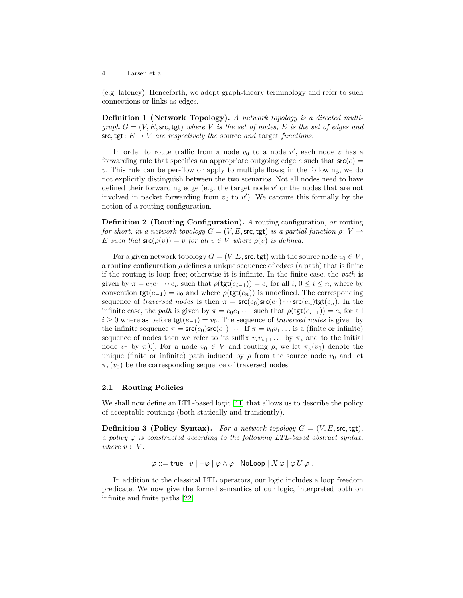(e.g. latency). Henceforth, we adopt graph-theory terminology and refer to such connections or links as edges.

Definition 1 (Network Topology). A network topology is a directed multigraph  $G = (V, E, \text{src}, \text{tgt})$  where V is the set of nodes, E is the set of edges and src, tgt:  $E \rightarrow V$  are respectively the source and target functions.

In order to route traffic from a node  $v_0$  to a node  $v'$ , each node v has a forwarding rule that specifies an appropriate outgoing edge e such that  $src(e)$  $v$ . This rule can be per-flow or apply to multiple flows; in the following, we do not explicitly distinguish between the two scenarios. Not all nodes need to have defined their forwarding edge (e.g. the target node  $v'$  or the nodes that are not involved in packet forwarding from  $v_0$  to  $v'$ ). We capture this formally by the notion of a routing configuration.

Definition 2 (Routing Configuration). A routing configuration, or routing for short, in a network topology  $G = (V, E, \text{src}, \text{tgt})$  is a partial function  $\rho: V \to$ E such that  $\operatorname{src}(\rho(v)) = v$  for all  $v \in V$  where  $\rho(v)$  is defined.

For a given network topology  $G = (V, E, \text{src}, \text{tgt})$  with the source node  $v_0 \in V$ , a routing configuration  $\rho$  defines a unique sequence of edges (a path) that is finite if the routing is loop free; otherwise it is infinite. In the finite case, the path is given by  $\pi = e_0e_1 \cdots e_n$  such that  $\rho(\text{tgt}(e_{i-1})) = e_i$  for all  $i, 0 \le i \le n$ , where by convention  $\text{tgt}(e_{-1}) = v_0$  and where  $\rho(\text{tgt}(e_n))$  is undefined. The corresponding sequence of traversed nodes is then  $\overline{\pi} = \text{src}(e_0)\text{src}(e_1)\cdots \text{src}(e_n)\text{tgt}(e_n)$ . In the infinite case, the path is given by  $\pi = e_0e_1 \cdots$  such that  $\rho(\text{tgt}(e_{i-1})) = e_i$  for all  $i \geq 0$  where as before  $\text{tgt}(e_{-1}) = v_0$ . The sequence of *traversed nodes* is given by the infinite sequence  $\bar{\pi} = \text{src}(e_0)\text{src}(e_1)\cdots$ . If  $\bar{\pi} = v_0v_1 \ldots$  is a (finite or infinite) sequence of nodes then we refer to its suffix  $v_i v_{i+1} \dots$  by  $\overline{\pi}_i$  and to the initial node  $v_0$  by  $\overline{\pi}[0]$ . For a node  $v_0 \in V$  and routing  $\rho$ , we let  $\pi_\rho(v_0)$  denote the unique (finite or infinite) path induced by  $\rho$  from the source node  $v_0$  and let  $\overline{\pi}_{\rho}(v_0)$  be the corresponding sequence of traversed nodes.

#### 2.1 Routing Policies

We shall now define an LTL-based logic [\[41\]](#page-18-8) that allows us to describe the policy of acceptable routings (both statically and transiently).

<span id="page-3-0"></span>**Definition 3 (Policy Syntax).** For a network topology  $G = (V, E, \text{src}, \text{tgt})$ , a policy  $\varphi$  is constructed according to the following LTL-based abstract syntax, where  $v \in V$ :

$$
\varphi ::= \mathsf{true} \mid v \mid \neg \varphi \mid \varphi \land \varphi \mid \mathsf{NoLoop} \mid X \varphi \mid \varphi U \varphi \; .
$$

In addition to the classical LTL operators, our logic includes a loop freedom predicate. We now give the formal semantics of our logic, interpreted both on infinite and finite paths [\[22\]](#page-17-15).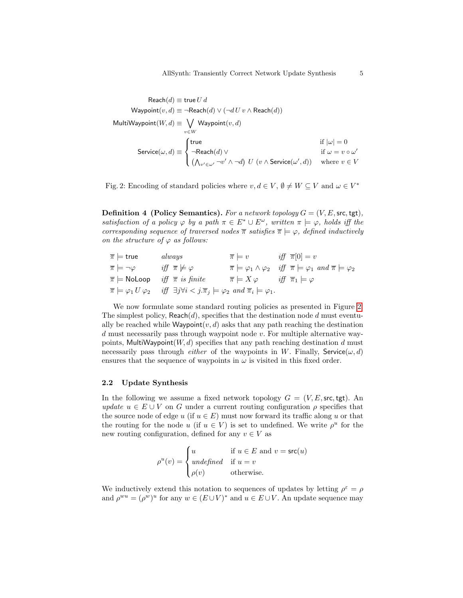<span id="page-4-0"></span> $\text{Reach}(d) \equiv \text{true} U d$ Waypoint $(v, d) \equiv \neg \text{Reach}(d) \vee (\neg d U v \wedge \text{Reach}(d))$ MultiWaypoint $(W, d) \equiv \bigvee$  Waypoint $(v, d)$ v∈W Service $(\omega, d) \equiv$  $\sqrt{ }$  $\int$  $\mathfrak{r}$ true  $\qquad \qquad \text{if }|\omega|=0$  $\neg \mathsf{Reach}(d) \vee$  $\left(\bigwedge_{v' \in \omega'} \neg v' \wedge \neg d\right)$   $U$   $\left(v \wedge \textsf{Service}(\omega', d)\right)$ if  $\omega = v \circ \omega'$ where  $v \in V$ 

Fig. 2: Encoding of standard policies where  $v, d \in V$ ,  $\emptyset \neq W \subseteq V$  and  $\omega \in V^*$ 

**Definition 4 (Policy Semantics).** For a network topology  $G = (V, E, \text{src}, \text{tgt})$ , satisfaction of a policy  $\varphi$  by a path  $\pi \in E^* \cup E^{\omega}$ , written  $\pi \models \varphi$ , holds iff the corresponding sequence of traversed nodes  $\bar{\pi}$  satisfies  $\bar{\pi} \models \varphi$ , defined inductively on the structure of  $\varphi$  as follows:

$$
\begin{array}{lll}\n\overline{\pi} \models \text{true} & always & \overline{\pi} \models v & iff \ \overline{\pi}[0] = v \\
\overline{\pi} \models \neg \varphi & iff \ \overline{\pi} \not\models \varphi & \overline{\pi} \models \varphi_1 \land \varphi_2 & iff \ \overline{\pi} \models \varphi_1 \ and \ \overline{\pi} \models \varphi_2 \\
\overline{\pi} \models \text{Noloop} & iff \ \overline{\pi} \ is \ finite & \overline{\pi} \models X \varphi & iff \ \overline{\pi}_1 \models \varphi \\
\overline{\pi} \models \varphi_1 U \varphi_2 & iff \ \exists j \forall i < j. \overline{\pi}_j \models \varphi_2 \ and \ \overline{\pi}_i \models \varphi_1.\n\end{array}
$$

We now formulate some standard routing policies as presented in Figure [2.](#page-4-0) The simplest policy,  $\text{Reach}(d)$ , specifies that the destination node d must eventually be reached while  $W$ aypoint $(v, d)$  asks that any path reaching the destination  $d$  must necessarily pass through waypoint node  $v$ . For multiple alternative waypoints, MultiWaypoint $(W, d)$  specifies that any path reaching destination d must necessarily pass through *either* of the waypoints in W. Finally, Service $(\omega, d)$ ensures that the sequence of waypoints in  $\omega$  is visited in this fixed order.

#### 2.2 Update Synthesis

In the following we assume a fixed network topology  $G = (V, E, \text{src}, \text{tgt})$ . An update  $u \in E \cup V$  on G under a current routing configuration  $\rho$  specifies that the source node of edge u (if  $u \in E$ ) must now forward its traffic along u or that the routing for the node u (if  $u \in V$ ) is set to undefined. We write  $\rho^u$  for the new routing configuration, defined for any  $v \in V$  as

> $\rho^u(v) =$  $\sqrt{ }$  $\int$  $\mathcal{L}$ u if  $u \in E$  and  $v = \textsf{src}(u)$ undefined if  $u = v$  $\rho(v)$  otherwise.

We inductively extend this notation to sequences of updates by letting  $\rho^{\varepsilon} = \rho$ and  $\rho^{wu} = (\rho^w)^u$  for any  $w \in (E \cup V)^*$  and  $u \in E \cup V$ . An update sequence may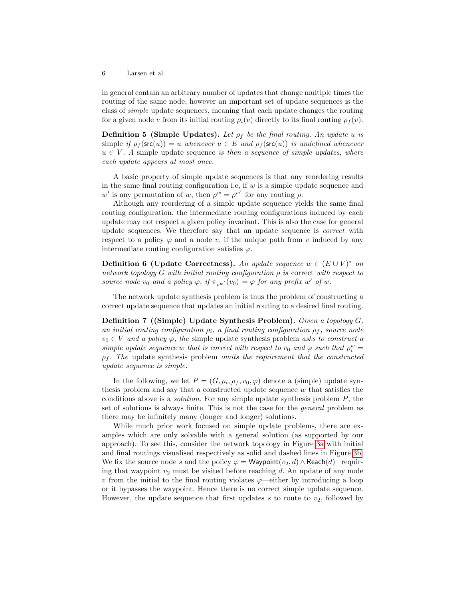in general contain an arbitrary number of updates that change multiple times the routing of the same node, however an important set of update sequences is the class of simple update sequences, meaning that each update changes the routing for a given node v from its initial routing  $\rho_i(v)$  directly to its final routing  $\rho_f(v)$ .

**Definition 5 (Simple Updates).** Let  $\rho_f$  be the final routing. An update u is simple if  $\rho_f(\textsf{src}(u)) = u$  whenever  $u \in E$  and  $\rho_f(\textsf{src}(u))$  is undefined whenever  $u \in V$ . A simple update sequence is then a sequence of simple updates, where each update appears at most once.

A basic property of simple update sequences is that any reordering results in the same final routing configuration i.e, if  $w$  is a simple update sequence and w' is any permutation of w, then  $\rho^w = \rho^{w'}$  for any routing  $\rho$ .

Although any reordering of a simple update sequence yields the same final routing configuration, the intermediate routing configurations induced by each update may not respect a given policy invariant. This is also the case for general update sequences. We therefore say that an update sequence is correct with respect to a policy  $\varphi$  and a node v, if the unique path from v induced by any intermediate routing configuration satisfies  $\varphi$ .

Definition 6 (Update Correctness). An update sequence  $w \in (E \cup V)^*$  on network topology G with initial routing configuration  $\rho$  is correct with respect to source node  $v_0$  and a policy  $\varphi$ , if  $\pi_{\rho^{w'}}(v_0) \models \varphi$  for any prefix w' of w.

The network update synthesis problem is thus the problem of constructing a correct update sequence that updates an initial routing to a desired final routing.

Definition 7 ((Simple) Update Synthesis Problem). Given a topology G, an initial routing configuration  $\rho_i$ , a final routing configuration  $\rho_f$ , source node  $v_0 \in V$  and a policy  $\varphi$ , the simple update synthesis problem asks to construct a simple update sequence w that is correct with respect to  $v_0$  and  $\varphi$  such that  $\rho_i^w =$  $\rho_f$ . The update synthesis problem omits the requirement that the constructed update sequence is simple.

In the following, we let  $P = (G, \rho_i, \rho_f, v_0, \varphi)$  denote a (simple) update synthesis problem and say that a constructed update sequence  $w$  that satisfies the conditions above is a *solution*. For any simple update synthesis problem  $P$ , the set of solutions is always finite. This is not the case for the general problem as there may be infinitely many (longer and longer) solutions.

While much prior work focused on simple update problems, there are examples which are only solvable with a general solution (as supported by our approach). To see this, consider the network topology in Figure [3a](#page-6-0) with initial and final routings visualised respectively as solid and dashed lines in Figure [3b.](#page-6-0) We fix the source node s and the policy  $\varphi = W$ aypoint $(v_2, d) \wedge$ Reach $(d)$  requiring that waypoint  $v_2$  must be visited before reaching d. An update of any node v from the initial to the final routing violates  $\varphi$ —either by introducing a loop or it bypasses the waypoint. Hence there is no correct simple update sequence. However, the update sequence that first updates s to route to  $v_2$ , followed by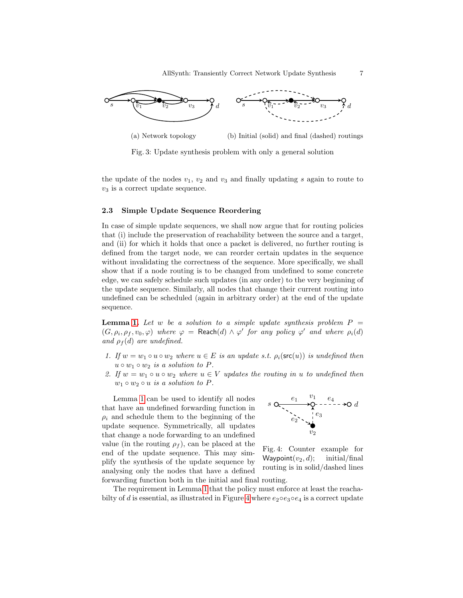<span id="page-6-0"></span>

(a) Network topology (b) Initial (solid) and final (dashed) routings

Fig. 3: Update synthesis problem with only a general solution

the update of the nodes  $v_1, v_2$  and  $v_3$  and finally updating s again to route to  $v_3$  is a correct update sequence.

#### 2.3 Simple Update Sequence Reordering

In case of simple update sequences, we shall now argue that for routing policies that (i) include the preservation of reachability between the source and a target, and (ii) for which it holds that once a packet is delivered, no further routing is defined from the target node, we can reorder certain updates in the sequence without invalidating the correctness of the sequence. More specifically, we shall show that if a node routing is to be changed from undefined to some concrete edge, we can safely schedule such updates (in any order) to the very beginning of the update sequence. Similarly, all nodes that change their current routing into undefined can be scheduled (again in arbitrary order) at the end of the update sequence.

<span id="page-6-1"></span>**Lemma [1.](#page-20-0)** Let w be a solution to a simple update synthesis problem  $P =$  $(G, \rho_i, \rho_f, v_0, \varphi)$  where  $\varphi = \text{Reach}(d) \wedge \varphi'$  for any policy  $\varphi'$  and where  $\rho_i(d)$ and  $\rho_f(d)$  are undefined.

- <span id="page-6-3"></span>1. If  $w = w_1 \circ u \circ w_2$  where  $u \in E$  is an update s.t.  $\rho_i(\text{src}(u))$  is undefined then  $u \circ w_1 \circ w_2$  is a solution to P.
- <span id="page-6-4"></span>2. If  $w = w_1 \circ u \circ w_2$  where  $u \in V$  updates the routing in u to undefined then  $w_1 \circ w_2 \circ u$  is a solution to P.

Lemma [1](#page-6-1) can be used to identify all nodes that have an undefined forwarding function in  $\rho_i$  and schedule them to the beginning of the update sequence. Symmetrically, all updates that change a node forwarding to an undefined value (in the routing  $\rho_f$ ), can be placed at the end of the update sequence. This may simplify the synthesis of the update sequence by analysing only the nodes that have a defined forwarding function both in the initial and final routing.

<span id="page-6-2"></span>

Fig. 4: Counter example for Waypoint $(v_2, d)$ ; initial/final routing is in solid/dashed lines

The requirement in Lemma [1](#page-6-1) that the policy must enforce at least the reacha-bilty of d is essential, as illustrated in Figure [4](#page-6-2) where  $e_2 \circ e_3 \circ e_4$  is a correct update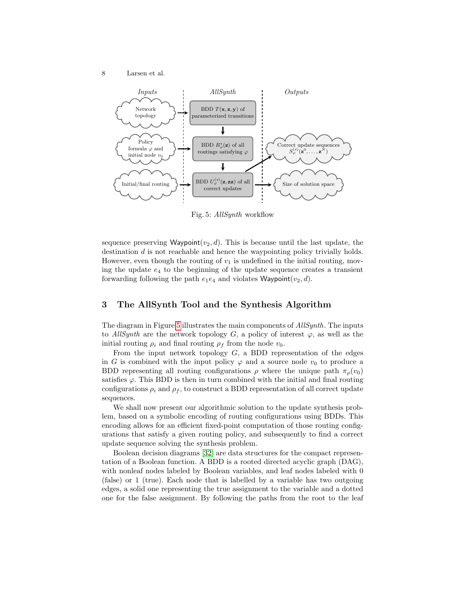<span id="page-7-0"></span>

Fig. 5: AllSynth workflow

sequence preserving  $W$ aypoint $(v_2, d)$ . This is because until the last update, the destination d is not reachable and hence the waypointing policy trivially holds. However, even though the routing of  $v_1$  is undefined in the initial routing, moving the update  $e_4$  to the beginning of the update sequence creates a transient forwarding following the path  $e_1e_4$  and violates Waypoint $(v_2, d)$ .

## <span id="page-7-1"></span>3 The AllSynth Tool and the Synthesis Algorithm

The diagram in Figure [5](#page-7-0) illustrates the main components of *AllSynth*. The inputs to *AllSynth* are the network topology G, a policy of interest  $\varphi$ , as well as the initial routing  $\rho_i$  and final routing  $\rho_f$  from the node  $v_0$ .

From the input network topology  $G$ , a BDD representation of the edges in G is combined with the input policy  $\varphi$  and a source node  $v_0$  to produce a BDD representing all routing configurations  $\rho$  where the unique path  $\pi_{\rho}(v_0)$ satisfies  $\varphi$ . This BDD is then in turn combined with the initial and final routing configurations  $\rho_i$  and  $\rho_f$ , to construct a BDD representation of all correct update sequences.

We shall now present our algorithmic solution to the update synthesis problem, based on a symbolic encoding of routing configurations using BDDs. This encoding allows for an efficient fixed-point computation of those routing configurations that satisfy a given routing policy, and subsequently to find a correct update sequence solving the synthesis problem.

Boolean decision diagrams [\[32\]](#page-17-6) are data structures for the compact representation of a Boolean function. A BDD is a rooted directed acyclic graph (DAG), with nonleaf nodes labeled by Boolean variables, and leaf nodes labeled with 0 (false) or 1 (true). Each node that is labelled by a variable has two outgoing edges, a solid one representing the true assignment to the variable and a dotted one for the false assignment. By following the paths from the root to the leaf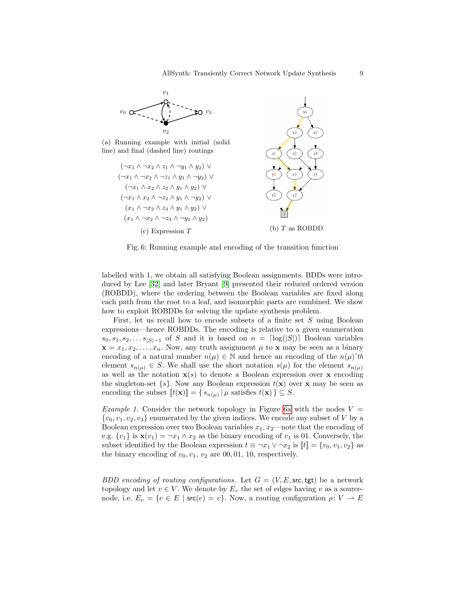<span id="page-8-0"></span>

Fig. 6: Running example and encoding of the transition function

labelled with 1, we obtain all satisfying Boolean assignments. BDDs were introduced by Lee [\[32\]](#page-17-6) and later Bryant [\[9\]](#page-16-13) presented their reduced ordered version (ROBDD), where the ordering between the Boolean variables are fixed along each path from the root to a leaf, and isomorphic parts are combined. We show how to exploit ROBDDs for solving the update synthesis problem.

First, let us recall how to encode subsets of a finite set S using Boolean expressions—hence ROBDDs. The encoding is relative to a given enumeration  $s_0, s_1, s_2, \ldots s_{|S|-1}$  of S and it is based on  $n = \lceil \log(|S|) \rceil$  Boolean variables  $\mathbf{x} = x_1, x_2, \dots, x_n$ . Now, any truth assignment  $\mu$  to  $\mathbf{x}$  may be seen as a binary encoding of a natural number  $n(\mu) \in \mathbb{N}$  and hence an encoding of the  $n(\mu)'$ th element  $s_{n(\mu)} \in S$ . We shall use the short notation  $s(\mu)$  for the element  $s_{n(\mu)}$ as well as the notation  $x(s)$  to denote a Boolean expression over x encoding the singleton-set  $\{s\}$ . Now any Boolean expression  $t(\mathbf{x})$  over x may be seen as encoding the subset  $[[t(\mathbf{x})]] = \{ s_{n(\mu)} | \mu \text{ satisfies } t(\mathbf{x}) \} \subseteq S.$ 

<span id="page-8-1"></span>*Example 1.* Consider the network topology in Figure [6a](#page-8-0) with the nodes  $V =$  $\{v_0, v_1, v_2, v_3\}$  enumerated by the given indices. We encode any subset of V by a Boolean expression over two Boolean variables  $x_1, x_2$ —note that the encoding of e.g.  $\{v_1\}$  is  $\mathbf{x}(v_1) = \neg x_1 \wedge x_2$  as the binary encoding of  $v_1$  is 01. Conversely, the subset identified by the Boolean expression  $t \equiv \neg x_1 \vee \neg x_2$  is  $\llbracket t \rrbracket = \{v_0, v_1, v_2\}$  as the binary encoding of  $v_0, v_1, v_2$  are 00,01, 10, respectively.

BDD encoding of routing configurations. Let  $G = (V, E, \text{src}, \text{tgt})$  be a network topology and let  $v \in V$ . We denote by  $E_v$  the set of edges having v as a sourcenode, i.e.  $E_v = \{e \in E \mid \mathsf{src}(e) = v\}$ . Now, a routing configuration  $\rho: V \to E$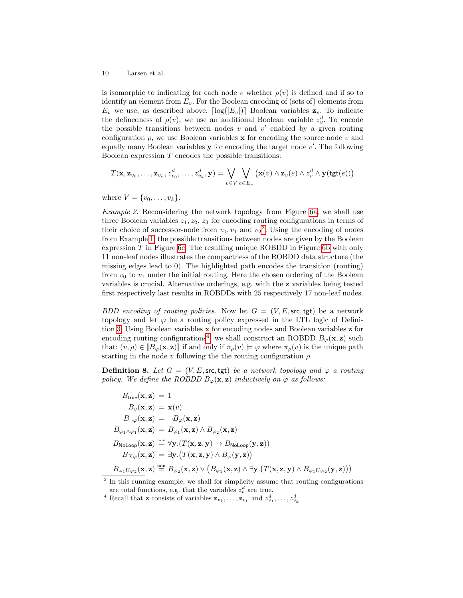is isomorphic to indicating for each node v whether  $\rho(v)$  is defined and if so to identify an element from  $E_v$ . For the Boolean encoding of (sets of) elements from  $E_v$  we use, as described above,  $\lceil \log(|E_v|) \rceil$  Boolean variables  $\mathbf{z}_v$ . To indicate the definedness of  $\rho(v)$ , we use an additional Boolean variable  $z_v^d$ . To encode the possible transitions between nodes  $v$  and  $v'$  enabled by a given routing configuration  $\rho$ , we use Boolean variables x for encoding the source node v and equally many Boolean variables  $y$  for encoding the target node  $v'$ . The following Boolean expression  $T$  encodes the possible transitions:

<span id="page-9-2"></span>
$$
T(\mathbf{x}, \mathbf{z}_{v_0}, \dots, \mathbf{z}_{v_k}, z_{v_0}^d, \dots, z_{v_k}^d, \mathbf{y}) = \bigvee_{v \in V} \bigvee_{e \in E_v} (\mathbf{x}(v) \wedge \mathbf{z}_v(e) \wedge z_v^d \wedge \mathbf{y}(\texttt{tgt}(e)))
$$

where  $V = \{v_0, \ldots, v_k\}.$ 

Example 2. Reconsidering the network topology from Figure [6a,](#page-8-0) we shall use three Boolean variables  $z_1, z_2, z_3$  for encoding routing configurations in terms of their choice of successor-node from  $v_0, v_1$  and  $v_2^3$  $v_2^3$ . Using the encoding of nodes from Example [1,](#page-8-1) the possible transitions between nodes are given by the Boolean expression  $T$  in Figure [6c.](#page-8-0) The resulting unique ROBDD in Figure [6b](#page-8-0) with only 11 non-leaf nodes illustrates the compactness of the ROBDD data structure (the missing edges lead to 0). The highlighted path encodes the transition (routing) from  $v_0$  to  $v_1$  under the initial routing. Here the chosen ordering of the Boolean variables is crucial. Alternative orderings, e.g. with the z variables being tested first respectively last results in ROBDDs with 25 respectively 17 non-leaf nodes.

BDD encoding of routing policies. Now let  $G = (V, E, \text{src}, \text{tgt})$  be a network topology and let  $\varphi$  be a routing policy expressed in the LTL logic of Defini-tion [3.](#page-3-0) Using Boolean variables  $x$  for encoding nodes and Boolean variables  $z$  for encoding routing configurations<sup>[4](#page-9-1)</sup>, we shall construct an ROBDD  $B_{\varphi}(\mathbf{x}, \mathbf{z})$  such that:  $(v, \rho) \in [B_{\varphi}(\mathbf{x}, \mathbf{z})]$  if and only if  $\pi_{\rho}(v) \models \varphi$  where  $\pi_{\rho}(v)$  is the unique path starting in the node  $v$  following the the routing configuration  $\rho$ .

**Definition 8.** Let  $G = (V, E, \text{src}, \text{tgt})$  be a network topology and  $\varphi$  a routing policy. We define the ROBDD  $B_{\varphi}(\mathbf{x}, \mathbf{z})$  inductively on  $\varphi$  as follows:

 $B_{\text{true}}(\mathbf{x}, \mathbf{z}) = 1$  $B_v(\mathbf{x}, \mathbf{z}) = \mathbf{x}(v)$  $B_{\neg\varphi}(\mathbf{x},\mathbf{z}) = \neg B_{\varphi}(\mathbf{x},\mathbf{z})$  $B_{\varphi_1 \wedge \varphi_1}(\mathbf{x}, \mathbf{z}) = B_{\varphi_1}(\mathbf{x}, \mathbf{z}) \wedge B_{\varphi_2}(\mathbf{x}, \mathbf{z})$  $B_{\mathsf{NoLoop}}(\mathbf{x}, \mathbf{z}) \stackrel{\text{min}}{=} \forall \mathbf{y}.(T(\mathbf{x}, \mathbf{z}, \mathbf{y}) \to B_{\mathsf{NoLoop}}(\mathbf{y}, \mathbf{z}))$  $B_{X\varphi}(\mathbf{x},\mathbf{z}) = \exists \mathbf{y}. (T(\mathbf{x},\mathbf{z},\mathbf{y}) \wedge B_{\varphi}(\mathbf{y},\mathbf{z}))$  $B_{\varphi_1 U \varphi_2}(\mathbf{x}, \mathbf{z}) \stackrel{\text{min}}{=} B_{\varphi_2}(\mathbf{x}, \mathbf{z}) \vee \big( B_{\varphi_1}(\mathbf{x}, \mathbf{z}) \wedge \exists \mathbf{y}. \big(T(\mathbf{x}, \mathbf{z}, \mathbf{y}) \wedge B_{\varphi_1 U \varphi_2}(\mathbf{y}, \mathbf{z})\big) \big)$ 

<span id="page-9-0"></span><sup>3</sup> In this running example, we shall for simplicity assume that routing configurations are total functions, e.g. that the variables  $z_v^d$  are true.

<span id="page-9-1"></span><sup>&</sup>lt;sup>4</sup> Recall that **z** consists of variables  $\mathbf{z}_{v_1}, \ldots, \mathbf{z}_{v_k}$  and  $z_{v_1}^d, \ldots, z_{v_k}^d$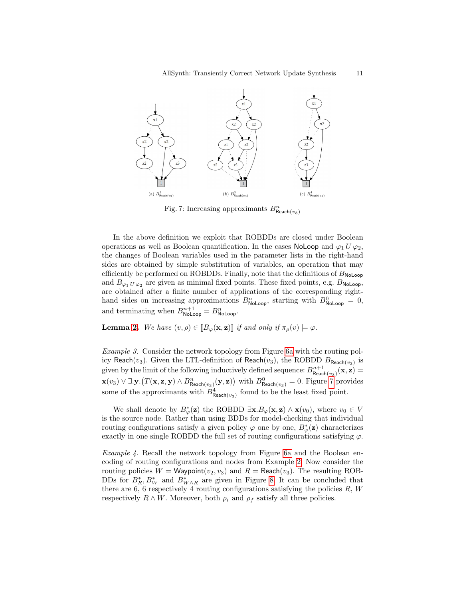<span id="page-10-0"></span>

Fig. 7: Increasing approximants  $B_{\mathsf{Reach}(v_3)}^n$ 

In the above definition we exploit that ROBDDs are closed under Boolean operations as well as Boolean quantification. In the cases NoLoop and  $\varphi_1 U \varphi_2$ , the changes of Boolean variables used in the parameter lists in the right-hand sides are obtained by simple substitution of variables, an operation that may efficiently be performed on ROBDDs. Finally, note that the definitions of  $B_{\text{NoLoop}}$ and  $B_{\varphi_1 U \varphi_2}$  are given as minimal fixed points. These fixed points, e.g.  $B_{\text{NoLoop}}$ , are obtained after a finite number of applications of the corresponding righthand sides on increasing approximations  $B^n_{\text{Noloop}}$ , starting with  $B^0_{\text{Noloop}} = 0$ , and terminating when  $B_{\text{Nolloop}}^{n+1} = B_{\text{Nolloop}}^n$ .

<span id="page-10-1"></span>**Lemma [2.](#page-20-1)** We have  $(v, \rho) \in [B_{\varphi}(\mathbf{x}, \mathbf{z})]$  if and only if  $\pi_{\rho}(v) \models \varphi$ .

Example 3. Consider the network topology from Figure [6a](#page-8-0) with the routing policy  $\mathsf{Reach}(v_3)$ . Given the LTL-definition of  $\mathsf{Reach}(v_3)$ , the  $\mathsf{ROBDD}\ B_{\mathsf{Reach}(v_3)}$  is given by the limit of the following inductively defined sequence:  $B_{\text{Reach}(v_3)}^{n+1}(\mathbf{x}, \mathbf{z}) =$  $\mathbf{x}(v_3) \vee \exists \mathbf{y}. (T(\mathbf{x}, \mathbf{z}, \mathbf{y}) \wedge B^n_{\mathsf{Reach}(v_3)}(\mathbf{y}, \mathbf{z}))$  with  $B^0_{\mathsf{Reach}(v_3)} = 0$ . Figure [7](#page-10-0) provides some of the approximants with  $B_{\text{Reach}(v_3)}^4$  found to be the least fixed point.

We shall denote by  $B^*_{\varphi}(\mathbf{z})$  the ROBDD  $\exists \mathbf{x}.B_{\varphi}(\mathbf{x}, \mathbf{z}) \wedge \mathbf{x}(v_0)$ , where  $v_0 \in V$ is the source node. Rather than using BDDs for model-checking that individual routing configurations satisfy a given policy  $\varphi$  one by one,  $B^*_{\varphi}(\mathbf{z})$  characterizes exactly in one single ROBDD the full set of routing configurations satisfying  $\varphi$ .

Example 4. Recall the network topology from Figure [6a](#page-8-0) and the Boolean encoding of routing configurations and nodes from Example [2.](#page-9-2) Now consider the routing policies  $W = \text{Waypoint}(v_2, v_3)$  and  $R = \text{Reach}(v_3)$ . The resulting ROB-DDs for  $B_R^*, B_W^*$  and  $B_{W\wedge R}^*$  are given in Figure [8.](#page-11-0) It can be concluded that there are 6, 6 respectively 4 routing configurations satisfying the policies  $R$ ,  $W$ respectively  $R \wedge W$ . Moreover, both  $\rho_i$  and  $\rho_f$  satisfy all three policies.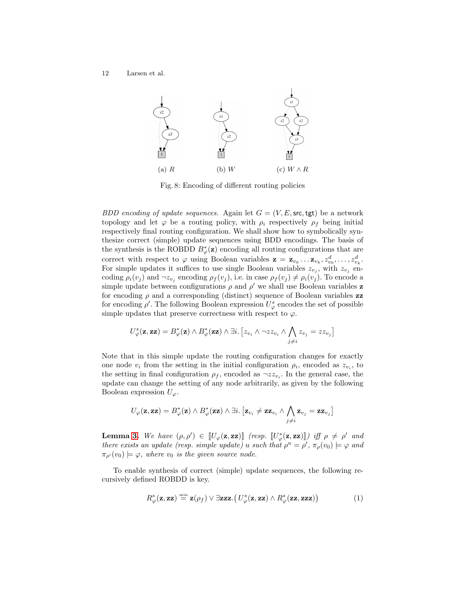<span id="page-11-0"></span>

Fig. 8: Encoding of different routing policies

BDD encoding of update sequences. Again let  $G = (V, E, \text{src}, \text{tgt})$  be a network topology and let  $\varphi$  be a routing policy, with  $\rho_i$  respectively  $\rho_f$  being initial respectively final routing configuration. We shall show how to symbolically synthesize correct (simple) update sequences using BDD encodings. The basis of the synthesis is the ROBDD  $B^*_{\varphi}(\mathbf{z})$  encoding all routing configurations that are correct with respect to  $\varphi$  using Boolean variables  $\mathbf{z} = \mathbf{z}_{v_0} \dots \mathbf{z}_{v_k}$ ,  $z_{v_0}^d$ ,  $\dots$ ,  $z_{v_k}^d$ . For simple updates it suffices to use single Boolean variables  $z_{v_j}$ , with  $z_{v_j}$  encoding  $\rho_i(v_j)$  and  $\neg z_{v_j}$  encoding  $\rho_f(v_j)$ , i.e. in case  $\rho_f(v_j) \neq \rho_i(v_j)$ . To encode a simple update between configurations  $\rho$  and  $\rho'$  we shall use Boolean variables z for encoding  $\rho$  and a corresponding (distinct) sequence of Boolean variables zz for encoding  $\rho'$ . The following Boolean expression  $U^s_\varphi$  encodes the set of possible simple updates that preserve correctness with respect to  $\varphi$ .

$$
U^s_{\varphi}(\mathbf{z}, \mathbf{z} \mathbf{z}) = B^*_{\varphi}(\mathbf{z}) \wedge B^*_{\varphi}(\mathbf{z} \mathbf{z}) \wedge \exists i. \left[z_{v_i} \wedge \neg z z_{v_i} \wedge \bigwedge_{j \neq i} z_{v_j} = z z_{v_j}\right]
$$

Note that in this simple update the routing configuration changes for exactly one node  $v_i$  from the setting in the initial configuration  $\rho_i$ , encoded as  $z_{v_i}$ , to the setting in final configuration  $\rho_f$ , encoded as  $\neg zz_{v_i}$ . In the general case, the update can change the setting of any node arbitrarily, as given by the following Boolean expression  $U_{\varphi}$ .

$$
U_{\varphi}(\mathbf{z}, \mathbf{z} \mathbf{z}) = B_{\varphi}^*(\mathbf{z}) \wedge B_{\varphi}^*(\mathbf{z} \mathbf{z}) \wedge \exists i. \big[ \mathbf{z}_{v_i} \neq \mathbf{z} \mathbf{z}_{v_i} \wedge \bigwedge_{j \neq i} \mathbf{z}_{v_j} = \mathbf{z} \mathbf{z}_{v_j} \big]
$$

<span id="page-11-2"></span>**Lemma [3.](#page-22-0)** We have  $(\rho, \rho') \in [[U_{\varphi}(\mathbf{z}, \mathbf{z} \mathbf{z})]] \text{ (resp. } [[U_{\varphi}^{s}(\mathbf{z}, \mathbf{z} \mathbf{z})]] \text{ ) iff } \rho \neq \rho' \text{ and }$ there exists an update (resp. simple update) u such that  $\rho^u = \rho'$ ,  $\pi_\rho(v_0) \models \varphi$  and  $\pi_{\rho}(v_0) \models \varphi$ , where  $v_0$  is the given source node.

To enable synthesis of correct (simple) update sequences, the following recursively defined ROBDD is key.

<span id="page-11-1"></span>
$$
R^s_\varphi(\mathbf{z}, \mathbf{z} \mathbf{z}) \stackrel{\text{min}}{=} \mathbf{z}(\rho_f) \vee \exists \mathbf{z} \mathbf{z} \mathbf{z}. (U^s_\varphi(\mathbf{z}, \mathbf{z} \mathbf{z}) \wedge R^s_\varphi(\mathbf{z} \mathbf{z}, \mathbf{z} \mathbf{z} \mathbf{z})) \tag{1}
$$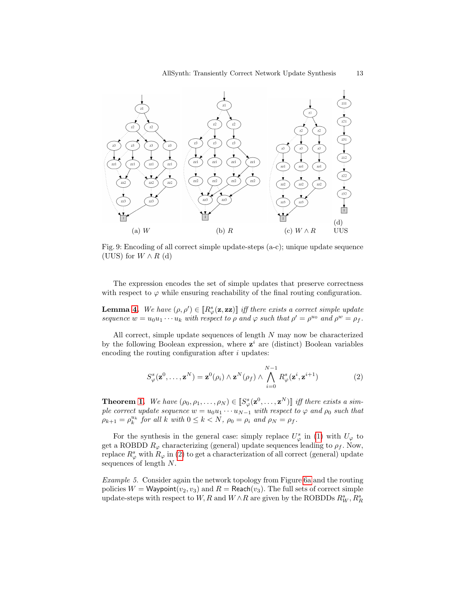<span id="page-12-1"></span>

Fig. 9: Encoding of all correct simple update-steps (a-c); unique update sequence (UUS) for  $W \wedge R$  (d)

The expression encodes the set of simple updates that preserve correctness with respect to  $\varphi$  while ensuring reachability of the final routing configuration.

<span id="page-12-2"></span>**Lemma [4.](#page-22-1)** We have  $(\rho, \rho') \in [R^s_{\varphi}(\mathbf{z}, \mathbf{z} \mathbf{z})]$  iff there exists a correct simple update sequence  $w = u_0 u_1 \cdots u_k$  with respect to  $\rho$  and  $\varphi$  such that  $\rho' = \rho^{u_0}$  and  $\rho^w = \rho_f$ .

All correct, simple update sequences of length N may now be characterized by the following Boolean expression, where  $z^i$  are (distinct) Boolean variables encoding the routing configuration after  $i$  updates:

<span id="page-12-0"></span>
$$
S^s_{\varphi}(\mathbf{z}^0, \dots, \mathbf{z}^N) = \mathbf{z}^0(\rho_i) \wedge \mathbf{z}^N(\rho_f) \wedge \bigwedge_{i=0}^{N-1} R^s_{\varphi}(\mathbf{z}^i, \mathbf{z}^{i+1})
$$
(2)

<span id="page-12-3"></span>**Theorem [1.](#page-23-0)** We have  $(\rho_0, \rho_1, \ldots, \rho_N) \in \llbracket S^s_{\varphi}(\mathbf{z}^0, \ldots, \mathbf{z}^N) \rrbracket$  iff there exists a simple correct update sequence  $w = u_0u_1 \cdots u_{N-1}$  with respect to  $\varphi$  and  $\rho_0$  such that  $\rho_{k+1} = \rho_k^{u_k}$  for all k with  $0 \le k < N$ ,  $\rho_0 = \rho_i$  and  $\rho_N = \rho_f$ .

For the synthesis in the general case: simply replace  $U^s_\varphi$  in [\(1\)](#page-11-1) with  $U_\varphi$  to get a ROBDD  $R_{\varphi}$  characterizing (general) update sequences leading to  $\rho_f$ . Now, replace  $R^s_\varphi$  with  $R_\varphi$  in [\(2\)](#page-12-0) to get a characterization of all correct (general) update sequences of length N.

Example 5. Consider again the network topology from Figure [6a](#page-8-0) and the routing policies  $W = W$ aypoint $(v_2, v_3)$  and  $R = \text{Reach}(v_3)$ . The full sets of correct simple update-steps with respect to  $W, R$  and  $W \wedge R$  are given by the ROBDDs  $R_W^s, R_R^s$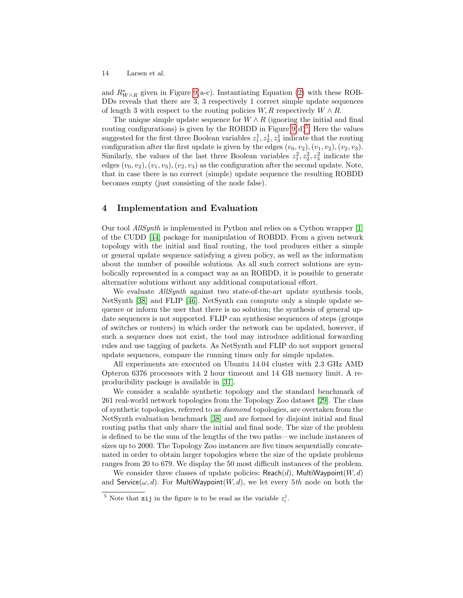and  $R_{W\wedge R}^s$  given in Figure [9\(](#page-12-1)a-c). Instantiating Equation [\(2\)](#page-12-0) with these ROB-DDs reveals that there are 3, 3 respectively 1 correct simple update sequences of length 3 with respect to the routing policies  $W, R$  respectively  $W \wedge R$ .

The unique simple update sequence for  $W \wedge R$  (ignoring the initial and final routing configurations) is given by the ROBDD in Figure  $9(d)^5$  $9(d)^5$ . Here the values suggested for the first three Boolean variables  $z_1^1, z_2^1, z_3^1$  indicate that the routing configuration after the first update is given by the edges  $(v_0, v_2), (v_1, v_2), (v_2, v_3)$ . Similarly, the values of the last three Boolean variables  $z_1^2, z_2^2, z_3^2$  indicate the edges  $(v_0, v_2), (v_1, v_3), (v_2, v_3)$  as the configuration after the second update. Note, that in case there is no correct (simple) update sequence the resulting ROBDD becomes empty (just consisting of the node false).

## 4 Implementation and Evaluation

Our tool AllSynth is implemented in Python and relies on a Cython wrapper [\[1\]](#page-16-14) of the CUDD [\[44\]](#page-18-15) package for manipulation of ROBDD. From a given network topology with the initial and final routing, the tool produces either a simple or general update sequence satisfying a given policy, as well as the information about the number of possible solutions. As all such correct solutions are symbolically represented in a compact way as an ROBDD, it is possible to generate alternative solutions without any additional computational effort.

We evaluate *AllSynth* against two state-of-the-art update synthesis tools, NetSynth [\[38\]](#page-18-3) and FLIP [\[46\]](#page-18-4). NetSynth can compute only a simple update sequence or inform the user that there is no solution; the synthesis of general update sequences is not supported. FLIP can synthesise sequences of steps (groups of switches or routers) in which order the network can be updated, however, if such a sequence does not exist, the tool may introduce additional forwarding rules and use tagging of packets. As NetSynth and FLIP do not support general update sequences, compare the running times only for simple updates.

All experiments are executed on Ubuntu 14.04 cluster with 2.3 GHz AMD Opteron 6376 processors with 2 hour timeout and 14 GB memory limit. A reproducibility package is available in [\[31\]](#page-17-7).

We consider a scalable synthetic topology and the standard benchmark of 261 real-world network topologies from the Topology Zoo dataset [\[29\]](#page-17-5). The class of synthetic topologies, referred to as diamond topologies, are overtaken from the NetSynth evaluation benchmark [\[38\]](#page-18-3) and are formed by disjoint initial and final routing paths that only share the initial and final node. The size of the problem is defined to be the sum of the lengths of the two paths—we include instances of sizes up to 2000. The Topology Zoo instances are five times sequentially concatenated in order to obtain larger topologies where the size of the update problems ranges from 20 to 679. We display the 50 most difficult instances of the problem.

We consider three classes of update policies: Reach(d), MultiWaypoint( $W, d$ ) and Service( $\omega, d$ ). For MultiWaypoint( $W, d$ ), we let every 5th node on both the

<span id="page-13-0"></span><sup>&</sup>lt;sup>5</sup> Note that **zij** in the figure is to be read as the variable  $z_i^j$ .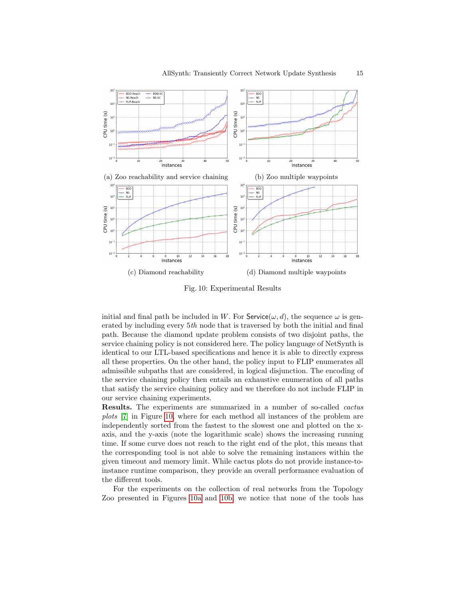<span id="page-14-0"></span>

Fig. 10: Experimental Results

initial and final path be included in W. For Service( $\omega, d$ ), the sequence  $\omega$  is generated by including every 5th node that is traversed by both the initial and final path. Because the diamond update problem consists of two disjoint paths, the service chaining policy is not considered here. The policy language of NetSynth is identical to our LTL-based specifications and hence it is able to directly express all these properties. On the other hand, the policy input to FLIP enumerates all admissible subpaths that are considered, in logical disjunction. The encoding of the service chaining policy then entails an exhaustive enumeration of all paths that satisfy the service chaining policy and we therefore do not include FLIP in our service chaining experiments.

Results. The experiments are summarized in a number of so-called cactus plots [\[7\]](#page-16-15) in Figure [10,](#page-14-0) where for each method all instances of the problem are independently sorted from the fastest to the slowest one and plotted on the xaxis, and the y-axis (note the logarithmic scale) shows the increasing running time. If some curve does not reach to the right end of the plot, this means that the corresponding tool is not able to solve the remaining instances within the given timeout and memory limit. While cactus plots do not provide instance-toinstance runtime comparison, they provide an overall performance evaluation of the different tools.

For the experiments on the collection of real networks from the Topology Zoo presented in Figures [10a](#page-14-0) and [10b,](#page-14-0) we notice that none of the tools has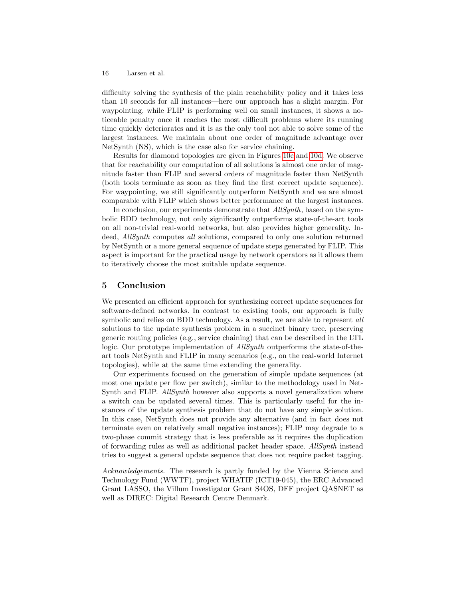difficulty solving the synthesis of the plain reachability policy and it takes less than 10 seconds for all instances—here our approach has a slight margin. For waypointing, while FLIP is performing well on small instances, it shows a noticeable penalty once it reaches the most difficult problems where its running time quickly deteriorates and it is as the only tool not able to solve some of the largest instances. We maintain about one order of magnitude advantage over NetSynth (NS), which is the case also for service chaining.

Results for diamond topologies are given in Figures [10c](#page-14-0) and [10d.](#page-14-0) We observe that for reachability our computation of all solutions is almost one order of magnitude faster than FLIP and several orders of magnitude faster than NetSynth (both tools terminate as soon as they find the first correct update sequence). For waypointing, we still significantly outperform NetSynth and we are almost comparable with FLIP which shows better performance at the largest instances.

In conclusion, our experiments demonstrate that  $AllSynth$ , based on the symbolic BDD technology, not only significantly outperforms state-of-the-art tools on all non-trivial real-world networks, but also provides higher generality. Indeed, *AllSynth* computes *all* solutions, compared to only one solution returned by NetSynth or a more general sequence of update steps generated by FLIP. This aspect is important for the practical usage by network operators as it allows them to iteratively choose the most suitable update sequence.

#### 5 Conclusion

We presented an efficient approach for synthesizing correct update sequences for software-defined networks. In contrast to existing tools, our approach is fully symbolic and relies on BDD technology. As a result, we are able to represent all solutions to the update synthesis problem in a succinct binary tree, preserving generic routing policies (e.g., service chaining) that can be described in the LTL logic. Our prototype implementation of *AllSynth* outperforms the state-of-theart tools NetSynth and FLIP in many scenarios (e.g., on the real-world Internet topologies), while at the same time extending the generality.

Our experiments focused on the generation of simple update sequences (at most one update per flow per switch), similar to the methodology used in Net-Synth and FLIP. AllSynth however also supports a novel generalization where a switch can be updated several times. This is particularly useful for the instances of the update synthesis problem that do not have any simple solution. In this case, NetSynth does not provide any alternative (and in fact does not terminate even on relatively small negative instances); FLIP may degrade to a two-phase commit strategy that is less preferable as it requires the duplication of forwarding rules as well as additional packet header space. AllSynth instead tries to suggest a general update sequence that does not require packet tagging.

Acknowledgements. The research is partly funded by the Vienna Science and Technology Fund (WWTF), project WHATIF (ICT19-045), the ERC Advanced Grant LASSO, the Villum Investigator Grant S4OS, DFF project QASNET as well as DIREC: Digital Research Centre Denmark.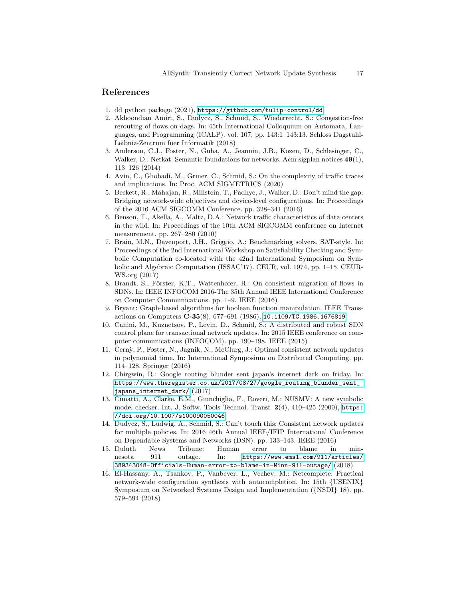#### <span id="page-16-16"></span>References

- <span id="page-16-14"></span>1. dd python package (2021), <https://github.com/tulip-control/dd>
- <span id="page-16-8"></span>2. Akhoondian Amiri, S., Dudycz, S., Schmid, S., Wiederrecht, S.: Congestion-free rerouting of flows on dags. In: 45th International Colloquium on Automata, Languages, and Programming (ICALP). vol. 107, pp. 143:1–143:13. Schloss Dagstuhl-Leibniz-Zentrum fuer Informatik (2018)
- <span id="page-16-5"></span>3. Anderson, C.J., Foster, N., Guha, A., Jeannin, J.B., Kozen, D., Schlesinger, C., Walker, D.: Netkat: Semantic foundations for networks. Acm sigplan notices  $49(1)$ , 113–126 (2014)
- <span id="page-16-3"></span>4. Avin, C., Ghobadi, M., Griner, C., Schmid, S.: On the complexity of traffic traces and implications. In: Proc. ACM SIGMETRICS (2020)
- <span id="page-16-0"></span>5. Beckett, R., Mahajan, R., Millstein, T., Padhye, J., Walker, D.: Don't mind the gap: Bridging network-wide objectives and device-level configurations. In: Proceedings of the 2016 ACM SIGCOMM Conference. pp. 328–341 (2016)
- <span id="page-16-4"></span>6. Benson, T., Akella, A., Maltz, D.A.: Network traffic characteristics of data centers in the wild. In: Proceedings of the 10th ACM SIGCOMM conference on Internet measurement. pp. 267–280 (2010)
- <span id="page-16-15"></span>7. Brain, M.N., Davenport, J.H., Griggio, A.: Benchmarking solvers, SAT-style. In: Proceedings of the 2nd International Workshop on Satisfiability Checking and Symbolic Computation co-located with the 42nd International Symposium on Symbolic and Algebraic Computation (ISSAC'17). CEUR, vol. 1974, pp. 1–15. CEUR-WS.org (2017)
- <span id="page-16-9"></span>8. Brandt, S., Förster, K.T., Wattenhofer, R.: On consistent migration of flows in SDNs. In: IEEE INFOCOM 2016-The 35th Annual IEEE International Conference on Computer Communications. pp. 1–9. IEEE (2016)
- <span id="page-16-13"></span>9. Bryant: Graph-based algorithms for boolean function manipulation. IEEE Transactions on Computers C-35(8), 677–691 (1986), <10.1109/TC.1986.1676819>
- <span id="page-16-10"></span>10. Canini, M., Kuznetsov, P., Levin, D., Schmid, S.: A distributed and robust SDN control plane for transactional network updates. In: 2015 IEEE conference on computer communications (INFOCOM). pp. 190–198. IEEE (2015)
- <span id="page-16-7"></span>11. Černỳ, P., Foster, N., Jagnik, N., McClurg, J.: Optimal consistent network updates in polynomial time. In: International Symposium on Distributed Computing. pp. 114–128. Springer (2016)
- <span id="page-16-1"></span>12. Chirgwin, R.: Google routing blunder sent japan's internet dark on friday. In: [https://www.theregister.co.uk/2017/08/27/google\\_routing\\_blunder\\_sent\\_](https://www.theregister.co.uk/2017/08/27/google_routing_blunder_sent_japans_internet_dark/) [japans\\_internet\\_dark/](https://www.theregister.co.uk/2017/08/27/google_routing_blunder_sent_japans_internet_dark/) (2017)
- <span id="page-16-12"></span>13. Cimatti, A., Clarke, E.M., Giunchiglia, F., Roveri, M.: NUSMV: A new symbolic model checker. Int. J. Softw. Tools Technol. Transf. 2(4), 410–425 (2000), [https:](https://doi.org/10.1007/s100090050046) [//doi.org/10.1007/s100090050046](https://doi.org/10.1007/s100090050046)
- <span id="page-16-11"></span>14. Dudycz, S., Ludwig, A., Schmid, S.: Can't touch this: Consistent network updates for multiple policies. In: 2016 46th Annual IEEE/IFIP International Conference on Dependable Systems and Networks (DSN). pp. 133–143. IEEE (2016)
- <span id="page-16-2"></span>15. Duluth News Tribune: Human error to blame in minnesota 911 outage. In: [https://www.ems1.com/911/articles/](https://www.ems1.com/911/articles/389343048-Officials-Human-error-to-blame-in-Minn-911-outage/) [389343048-Officials-Human-error-to-blame-in-Minn-911-outage/](https://www.ems1.com/911/articles/389343048-Officials-Human-error-to-blame-in-Minn-911-outage/) (2018)
- <span id="page-16-6"></span>16. El-Hassany, A., Tsankov, P., Vanbever, L., Vechev, M.: Netcomplete: Practical network-wide configuration synthesis with autocompletion. In: 15th {USENIX} Symposium on Networked Systems Design and Implementation ({NSDI} 18). pp. 579–594 (2018)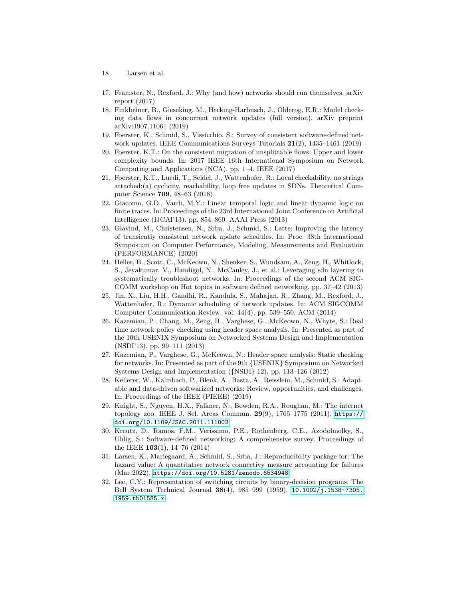- 18 Larsen et al.
- <span id="page-17-1"></span>17. Feamster, N., Rexford, J.: Why (and how) networks should run themselves. arXiv report (2017)
- <span id="page-17-14"></span>18. Finkbeiner, B., Gieseking, M., Hecking-Harbusch, J., Olderog, E.R.: Model checking data flows in concurrent network updates (full version). arXiv preprint arXiv:1907.11061 (2019)
- <span id="page-17-9"></span>19. Foerster, K., Schmid, S., Vissicchio, S.: Survey of consistent software-defined network updates. IEEE Communications Surveys Tutorials 21(2), 1435–1461 (2019)
- <span id="page-17-10"></span>20. Foerster, K.T.: On the consistent migration of unsplittable flows: Upper and lower complexity bounds. In: 2017 IEEE 16th International Symposium on Network Computing and Applications (NCA). pp. 1–4. IEEE (2017)
- <span id="page-17-13"></span>21. Foerster, K.T., Luedi, T., Seidel, J., Wattenhofer, R.: Local checkability, no strings attached:(a) cyclicity, reachability, loop free updates in SDNs. Theoretical Computer Science 709, 48–63 (2018)
- <span id="page-17-15"></span>22. Giacomo, G.D., Vardi, M.Y.: Linear temporal logic and linear dynamic logic on finite traces. In: Proceedings of the 23rd International Joint Conference on Artificial Intelligence (IJCAI'13). pp. 854–860. AAAI Press (2013)
- <span id="page-17-4"></span>23. Glavind, M., Christensen, N., Srba, J., Schmid, S.: Latte: Improving the latency of transiently consistent network update schedules. In: Proc. 38th International Symposium on Computer Performance, Modeling, Measurements and Evaluation (PERFORMANCE) (2020)
- <span id="page-17-0"></span>24. Heller, B., Scott, C., McKeown, N., Shenker, S., Wundsam, A., Zeng, H., Whitlock, S., Jeyakumar, V., Handigol, N., McCauley, J., et al.: Leveraging sdn layering to systematically troubleshoot networks. In: Proceedings of the second ACM SIG-COMM workshop on Hot topics in software defined networking. pp. 37–42 (2013)
- <span id="page-17-11"></span>25. Jin, X., Liu, H.H., Gandhi, R., Kandula, S., Mahajan, R., Zhang, M., Rexford, J., Wattenhofer, R.: Dynamic scheduling of network updates. In: ACM SIGCOMM Computer Communication Review. vol. 44(4), pp. 539–550. ACM (2014)
- <span id="page-17-12"></span>26. Kazemian, P., Chang, M., Zeng, H., Varghese, G., McKeown, N., Whyte, S.: Real time network policy checking using header space analysis. In: Presented as part of the 10th USENIX Symposium on Networked Systems Design and Implementation (NSDI'13). pp. 99–111 (2013)
- <span id="page-17-2"></span>27. Kazemian, P., Varghese, G., McKeown, N.: Header space analysis: Static checking for networks. In: Presented as part of the 9th {USENIX} Symposium on Networked Systems Design and Implementation ({NSDI} 12). pp. 113–126 (2012)
- <span id="page-17-3"></span>28. Kellerer, W., Kalmbach, P., Blenk, A., Basta, A., Reisslein, M., Schmid, S.: Adaptable and data-driven softwarized networks: Review, opportunities, and challenges. In: Proceedings of the IEEE (PIEEE) (2019)
- <span id="page-17-5"></span>29. Knight, S., Nguyen, H.X., Falkner, N., Bowden, R.A., Roughan, M.: The internet topology zoo. IEEE J. Sel. Areas Commun. 29(9), 1765–1775 (2011), [https://](https://doi.org/10.1109/JSAC.2011.111002) [doi.org/10.1109/JSAC.2011.111002](https://doi.org/10.1109/JSAC.2011.111002)
- <span id="page-17-8"></span>30. Kreutz, D., Ramos, F.M., Verissimo, P.E., Rothenberg, C.E., Azodolmolky, S., Uhlig, S.: Software-defined networking: A comprehensive survey. Proceedings of the IEEE 103(1), 14–76 (2014)
- <span id="page-17-7"></span>31. Larsen, K., Mariegaard, A., Schmid, S., Srba, J.: Reproducibility package for: The hazard value: A quantitative network connectivy measure accounting for failures (Mar 2022), <https://doi.org/10.5281/zenodo.6534948>
- <span id="page-17-6"></span>32. Lee, C.Y.: Representation of switching circuits by binary-decision programs. The Bell System Technical Journal 38(4), 985–999 (1959), [10.1002/j.1538-7305.](10.1002/j.1538-7305.1959.tb01585.x) [1959.tb01585.x](10.1002/j.1538-7305.1959.tb01585.x)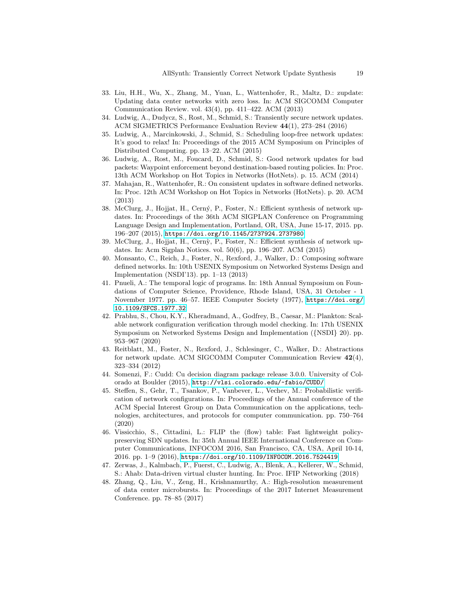- <span id="page-18-9"></span>33. Liu, H.H., Wu, X., Zhang, M., Yuan, L., Wattenhofer, R., Maltz, D.: zupdate: Updating data center networks with zero loss. In: ACM SIGCOMM Computer Communication Review. vol. 43(4), pp. 411–422. ACM (2013)
- <span id="page-18-6"></span>34. Ludwig, A., Dudycz, S., Rost, M., Schmid, S.: Transiently secure network updates. ACM SIGMETRICS Performance Evaluation Review 44(1), 273–284 (2016)
- <span id="page-18-11"></span>35. Ludwig, A., Marcinkowski, J., Schmid, S.: Scheduling loop-free network updates: It's good to relax! In: Proceedings of the 2015 ACM Symposium on Principles of Distributed Computing. pp. 13–22. ACM (2015)
- <span id="page-18-12"></span>36. Ludwig, A., Rost, M., Foucard, D., Schmid, S.: Good network updates for bad packets: Waypoint enforcement beyond destination-based routing policies. In: Proc. 13th ACM Workshop on Hot Topics in Networks (HotNets). p. 15. ACM (2014)
- <span id="page-18-7"></span>37. Mahajan, R., Wattenhofer, R.: On consistent updates in software defined networks. In: Proc. 12th ACM Workshop on Hot Topics in Networks (HotNets). p. 20. ACM (2013)
- <span id="page-18-3"></span>38. McClurg, J., Hojjat, H., Cern´y, P., Foster, N.: Efficient synthesis of network updates. In: Proceedings of the 36th ACM SIGPLAN Conference on Programming Language Design and Implementation, Portland, OR, USA, June 15-17, 2015. pp. 196–207 (2015), <https://doi.org/10.1145/2737924.2737980>
- <span id="page-18-14"></span>39. McClurg, J., Hojjat, H., Černỳ, P., Foster, N.: Efficient synthesis of network updates. In: Acm Sigplan Notices. vol. 50(6), pp. 196–207. ACM (2015)
- <span id="page-18-10"></span>40. Monsanto, C., Reich, J., Foster, N., Rexford, J., Walker, D.: Composing software defined networks. In: 10th USENIX Symposium on Networked Systems Design and Implementation (NSDI'13). pp. 1–13 (2013)
- <span id="page-18-8"></span>41. Pnueli, A.: The temporal logic of programs. In: 18th Annual Symposium on Foundations of Computer Science, Providence, Rhode Island, USA, 31 October - 1 November 1977. pp. 46–57. IEEE Computer Society (1977), [https://doi.org/](https://doi.org/10.1109/SFCS.1977.32) [10.1109/SFCS.1977.32](https://doi.org/10.1109/SFCS.1977.32)
- <span id="page-18-1"></span>42. Prabhu, S., Chou, K.Y., Kheradmand, A., Godfrey, B., Caesar, M.: Plankton: Scalable network configuration verification through model checking. In: 17th USENIX Symposium on Networked Systems Design and Implementation ({NSDI} 20). pp. 953–967 (2020)
- <span id="page-18-5"></span>43. Reitblatt, M., Foster, N., Rexford, J., Schlesinger, C., Walker, D.: Abstractions for network update. ACM SIGCOMM Computer Communication Review 42(4), 323–334 (2012)
- <span id="page-18-15"></span>44. Somenzi, F.: Cudd: Cu decision diagram package release 3.0.0. University of Colorado at Boulder (2015), <http://vlsi.colorado.edu/~fabio/CUDD/>
- <span id="page-18-2"></span>45. Steffen, S., Gehr, T., Tsankov, P., Vanbever, L., Vechev, M.: Probabilistic verification of network configurations. In: Proceedings of the Annual conference of the ACM Special Interest Group on Data Communication on the applications, technologies, architectures, and protocols for computer communication. pp. 750–764 (2020)
- <span id="page-18-4"></span>46. Vissicchio, S., Cittadini, L.: FLIP the (flow) table: Fast lightweight policypreserving SDN updates. In: 35th Annual IEEE International Conference on Computer Communications, INFOCOM 2016, San Francisco, CA, USA, April 10-14, 2016. pp. 1–9 (2016), <https://doi.org/10.1109/INFOCOM.2016.7524419>
- <span id="page-18-13"></span>47. Zerwas, J., Kalmbach, P., Fuerst, C., Ludwig, A., Blenk, A., Kellerer, W., Schmid, S.: Ahab: Data-driven virtual cluster hunting. In: Proc. IFIP Networking (2018)
- <span id="page-18-0"></span>48. Zhang, Q., Liu, V., Zeng, H., Krishnamurthy, A.: High-resolution measurement of data center microbursts. In: Proceedings of the 2017 Internet Measurement Conference. pp. 78–85 (2017)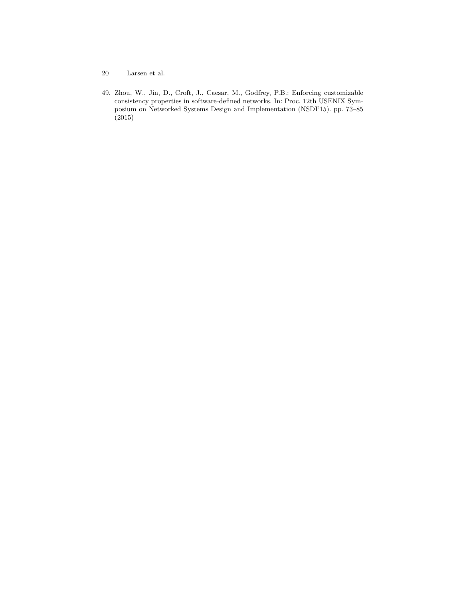- 20 Larsen et al.
- <span id="page-19-0"></span>49. Zhou, W., Jin, D., Croft, J., Caesar, M., Godfrey, P.B.: Enforcing customizable consistency properties in software-defined networks. In: Proc. 12th USENIX Symposium on Networked Systems Design and Implementation (NSDI'15). pp. 73–85 (2015)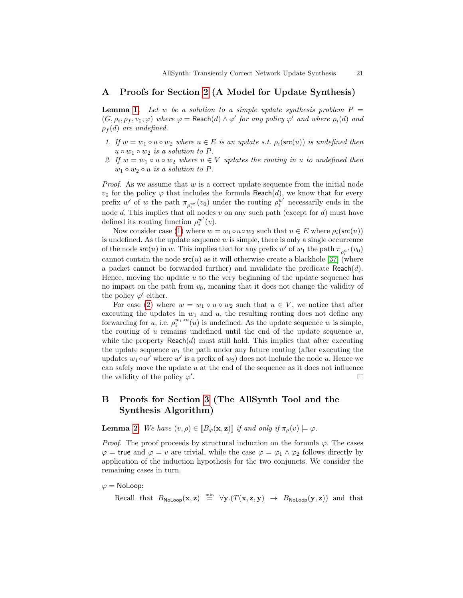## A Proofs for Section [2](#page-2-1) (A Model for Update Synthesis)

<span id="page-20-0"></span>**Lemma [1.](#page-6-1)** Let w be a solution to a simple update synthesis problem  $P =$  $(G, \rho_i, \rho_f, v_0, \varphi)$  where  $\varphi = \text{Reach}(d) \wedge \varphi'$  for any policy  $\varphi'$  and where  $\rho_i(d)$  and  $\rho_f(d)$  are undefined.

- 1. If  $w = w_1 \circ u \circ w_2$  where  $u \in E$  is an update s.t.  $\rho_i(\textsf{src}(u))$  is undefined then  $u \circ w_1 \circ w_2$  is a solution to P.
- 2. If  $w = w_1 \circ u \circ w_2$  where  $u \in V$  updates the routing in u to undefined then  $w_1 \circ w_2 \circ u$  is a solution to P.

*Proof.* As we assume that  $w$  is a correct update sequence from the initial node  $v_0$  for the policy  $\varphi$  that includes the formula Reach(d), we know that for every prefix w' of w the path  $\pi_{\rho_i^{w'}}(v_0)$  under the routing  $\rho_i^{w'}$  necessarily ends in the node  $d$ . This implies that all nodes  $v$  on any such path (except for  $d$ ) must have defined its routing function  $\rho_i^{w'}(v)$ .

Now consider case [\(1\)](#page-6-3) where  $w = w_1 \circ u \circ w_2$  such that  $u \in E$  where  $\rho_i(\text{src}(u))$ is undefined. As the update sequence  $w$  is simple, there is only a single occurrence of the node  $\mathsf{src}(u)$  in w. This implies that for any prefix w' of  $w_1$  the path  $\pi_{\rho_i^{w'}}(v_0)$ cannot contain the node  $src(u)$  as it will otherwise create a blackhole [\[37\]](#page-18-7) (where a packet cannot be forwarded further) and invalidate the predicate  $\text{Reach}(d)$ . Hence, moving the update  $u$  to the very beginning of the update sequence has no impact on the path from  $v_0$ , meaning that it does not change the validity of the policy  $\varphi'$  either.

For case [\(2\)](#page-6-4) where  $w = w_1 \circ u \circ w_2$  such that  $u \in V$ , we notice that after executing the updates in  $w_1$  and  $u$ , the resulting routing does not define any forwarding for u, i.e.  $\rho_i^{w_1 \circ u}(u)$  is undefined. As the update sequence w is simple, the routing of  $u$  remains undefined until the end of the update sequence  $w$ , while the property  $\mathsf{Reach}(d)$  must still hold. This implies that after executing the update sequence  $w_1$  the path under any future routing (after executing the updates  $w_1 \circ w'$  where  $w'$  is a prefix of  $w_2$ ) does not include the node u. Hence we can safely move the update  $u$  at the end of the sequence as it does not influence the validity of the policy  $\varphi'$ .  $\Box$ 

## B Proofs for Section [3](#page-7-1) (The AllSynth Tool and the Synthesis Algorithm)

<span id="page-20-1"></span>**Lemma [2.](#page-10-1)** We have  $(v, \rho) \in [B_{\varphi}(\mathbf{x}, \mathbf{z})]$  if and only if  $\pi_o(v) \models \varphi$ .

*Proof.* The proof proceeds by structural induction on the formula  $\varphi$ . The cases  $\varphi$  = true and  $\varphi = v$  are trivial, while the case  $\varphi = \varphi_1 \wedge \varphi_2$  follows directly by application of the induction hypothesis for the two conjuncts. We consider the remaining cases in turn.

#### $\varphi = \mathsf{NoLoop}$ :

Recall that  $B_{\text{NoLoop}}(\mathbf{x}, \mathbf{z}) \stackrel{\text{min}}{=} \forall \mathbf{y} \cdot (T(\mathbf{x}, \mathbf{z}, \mathbf{y}) \rightarrow B_{\text{NoLoop}}(\mathbf{y}, \mathbf{z}))$  and that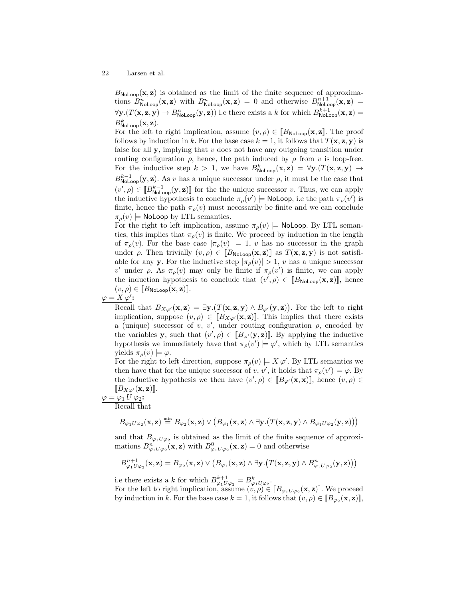$B_{\text{NoLoop}}(\mathbf{x}, \mathbf{z})$  is obtained as the limit of the finite sequence of approximations  $B_{\text{NoLoop}}^n(\mathbf{x}, \mathbf{z})$  with  $B_{\text{NoLoop}}^n(\mathbf{x}, \mathbf{z}) = 0$  and otherwise  $B_{\text{NoLoop}}^{n+1}(\mathbf{x}, \mathbf{z}) =$  $\forall y \cdot (T(\mathbf{x}, \mathbf{z}, \mathbf{y}) \to B^n_{\text{Noloop}}(\mathbf{y}, \mathbf{z}))$  i.e there exists a k for which  $B^{k+1}_{\text{Noloop}}(\mathbf{x}, \mathbf{z}) =$  $B_{\sf Noloop}^k({\bf x},{\bf z}).$ 

For the left to right implication, assume  $(v, \rho) \in [B_{\text{NoLoop}}(\mathbf{x}, \mathbf{z}].$  The proof follows by induction in k. For the base case  $k = 1$ , it follows that  $T(\mathbf{x}, \mathbf{z}, \mathbf{y})$  is false for all  $\bf{y}$ , implying that  $v$  does not have any outgoing transition under routing configuration  $ρ$ , hence, the path induced by  $ρ$  from v is loop-free. For the inductive step  $k > 1$ , we have  $B_{\text{NoLoop}}^k(\mathbf{x}, \mathbf{z}) = \forall \mathbf{y} \cdot (T(\mathbf{x}, \mathbf{z}, \mathbf{y}) \rightarrow$  $B_{\text{Noloop}}^{k-1}(\mathbf{y}, \mathbf{z})$ . As v has a unique successor under  $\rho$ , it must be the case that  $(v', \rho) \in [B_{\text{Noloop}}^{k-1}(\mathbf{y}, \mathbf{z})]$  for the the unique successor v. Thus, we can apply the inductive hypothesis to conclude  $\pi_{\rho}(v')$   $\models$  NoLoop, i.e the path  $\pi_{\rho}(v')$  is finite, hence the path  $\pi_{\rho}(v)$  must necessarily be finite and we can conclude  $\pi_o(v)$  = NoLoop by LTL semantics.

For the right to left implication, assume  $\pi_{\rho}(v) \models$  NoLoop. By LTL semantics, this implies that  $\pi_{\rho}(v)$  is finite. We proceed by induction in the length of  $\pi_{\rho}(v)$ . For the base case  $|\pi_{\rho}(v)| = 1$ , v has no successor in the graph under  $\rho$ . Then trivially  $(v, \rho) \in [B_{\text{NoLoop}}(\mathbf{x}, \mathbf{z})]$  as  $T(\mathbf{x}, \mathbf{z}, \mathbf{y})$  is not satisfiable for any **y**. For the inductive step  $|\pi_{\rho}(v)| > 1$ , v has a unique successor v' under  $\rho$ . As  $\pi_{\rho}(v)$  may only be finite if  $\pi_{\rho}(v')$  is finite, we can apply the induction hypothesis to conclude that  $(v', \rho) \in [B_{\text{NoLoop}}(\mathbf{x}, \mathbf{z})]$ , hence  $(v, \rho) \in [B_{\text{NoLoop}}(\mathbf{x}, \mathbf{z})]$ 



Recall that  $B_{X\varphi'}(\mathbf{x},\mathbf{z}) = \exists \mathbf{y}.(T(\mathbf{x},\mathbf{z},\mathbf{y}) \wedge B_{\varphi'}(\mathbf{y},\mathbf{z}))$ . For the left to right implication, suppose  $(v, \rho) \in [B_{X\varphi'}(x, z)]$ . This implies that there exists a (unique) successor of v, v', under routing configuration  $\rho$ , encoded by the variables **y**, such that  $(v', \rho) \in [B_{\varphi'}(\mathbf{y}, \mathbf{z})]$ . By applying the inductive hypothesis we immediately have that  $\pi_{\rho}(v') \models \varphi'$ , which by LTL semantics yields  $\pi_{\rho}(v) \models \varphi$ .

For the right to left direction, suppose  $\pi_{\rho}(v) \models X \varphi'$ . By LTL semantics we then have that for the unique successor of v, v', it holds that  $\pi_{\rho}(v') \models \varphi$ . By the inductive hypothesis we then have  $(v', \rho) \in [B_{\varphi'}(x, x)]$ , hence  $(v, \rho) \in$  $[[B_{X\varphi'}(\mathbf{x},\mathbf{z})]].$ 

$$
\underline{\varphi} = \underline{\varphi_1 U \varphi_2}:
$$

Recall that

$$
B_{\varphi_1U\varphi_2}(\mathbf{x},\mathbf{z}) \stackrel{\text{min}}{=} B_{\varphi_2}(\mathbf{x},\mathbf{z}) \vee \big(B_{\varphi_1}(\mathbf{x},\mathbf{z}) \wedge \exists \mathbf{y}. \big(T(\mathbf{x},\mathbf{z},\mathbf{y}) \wedge B_{\varphi_1U\varphi_2}(\mathbf{y},\mathbf{z})\big)\big)
$$

and that  $B_{\varphi_1 U \varphi_2}$  is obtained as the limit of the finite sequence of approximations  $B_{\varphi_1 U \varphi_2}^n(\mathbf{x}, \mathbf{z})$  with  $B_{\varphi_1 U \varphi_2}^0(\mathbf{x}, \mathbf{z}) = 0$  and otherwise

$$
B_{\varphi_1 U \varphi_2}^{n+1}(\mathbf{x}, \mathbf{z}) = B_{\varphi_2}(\mathbf{x}, \mathbf{z}) \vee (B_{\varphi_1}(\mathbf{x}, \mathbf{z}) \wedge \exists \mathbf{y}.(T(\mathbf{x}, \mathbf{z}, \mathbf{y}) \wedge B_{\varphi_1 U \varphi_2}^n(\mathbf{y}, \mathbf{z})))
$$

i.e there exists a k for which  $B^{k+1}_{\varphi_1 U \varphi_2} = B^k_{\varphi_1 U \varphi_2}$ .

For the left to right implication, assume  $(v, \rho) \in [B_{\varphi_1 U \varphi_2}(\mathbf{x}, \mathbf{z})]$ . We proceed by induction in k. For the base case  $k = 1$ , it follows that  $(v, \rho) \in [B_{\varphi_2}(\mathbf{x}, \mathbf{z})],$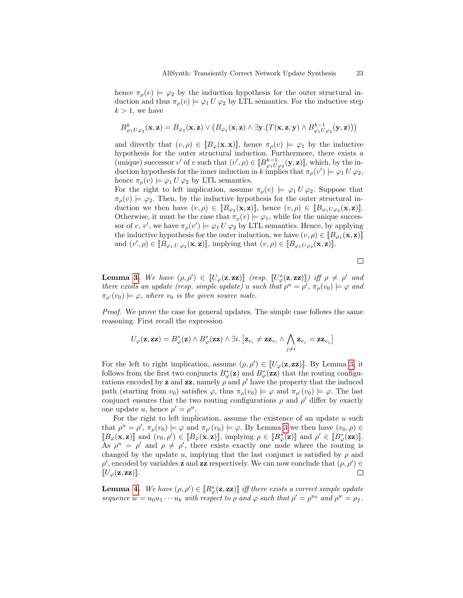hence  $\pi_{\rho}(v) \models \varphi_2$  by the induction hypothesis for the outer structural induction and thus  $\pi_{\rho}(v) \models \varphi_1 U \varphi_2$  by LTL semantics. For the inductive step  $k > 1$ , we have

$$
B_{\varphi_1 U \varphi_2}^k(\mathbf{x}, \mathbf{z}) = B_{\varphi_2}(\mathbf{x}, \mathbf{z}) \vee (B_{\varphi_1}(\mathbf{x}, \mathbf{z}) \wedge \exists \mathbf{y}. (T(\mathbf{x}, \mathbf{z}, \mathbf{y}) \wedge B_{\varphi_1 U \varphi_2}^{k-1}(\mathbf{y}, \mathbf{z})))
$$

and directly that  $(v, \rho) \in [B_{\varphi}(\mathbf{x}, \mathbf{x})]$ , hence  $\pi_{\rho}(v) \models \varphi_1$  by the inductive hypothesis for the outer structural induction. Furthermore, there exists a (unique) successor  $v'$  of v such that  $(v', \rho) \in [B^{k-1}_{\varphi_1 U \varphi_2}(\mathbf{y}, \mathbf{z})]$ , which, by the induction hypothesis for the inner induction in k implies that  $\pi_{\rho}(v') \models \varphi_1 U \varphi_2$ , hence  $\pi_{\rho}(v) \models \varphi_1 U \varphi_2$  by LTL semantics.

For the right to left implication, assume  $\pi_{\rho}(v) \models \varphi_1 U \varphi_2$ . Suppose that  $\pi_{\rho}(v) \models \varphi_2$ . Then, by the inductive hypothesis for the outer structural induction we then have  $(v, \rho) \in [B_{\varphi_2}(\mathbf{x}, \mathbf{z})]$ , hence  $(v, \rho) \in [B_{\varphi_1 U \varphi_2}(\mathbf{x}, \mathbf{z})]$ . Otherwise, it must be the case that  $\pi_{\rho}(v) \models \varphi_1$ , while for the unique successor of v, v', we have  $\pi_{\rho}(v') \models \varphi_1 U \varphi_2$  by LTL semantics. Hence, by applying the inductive hypothesis for the outer induction, we have  $(v, \rho) \in [B_{\varphi_1}(\mathbf{x}, \mathbf{z})]$ and  $(v', \rho) \in [B_{\varphi_1 U \varphi_2}(\mathbf{x}, \mathbf{z})]$ , implying that  $(v, \rho) \in [B_{\varphi_1 U \varphi_2}(\mathbf{x}, \mathbf{z})]$ .

<span id="page-22-0"></span>**Lemma [3.](#page-11-2)** We have  $(\rho, \rho') \in [[U_{\varphi}(\mathbf{z}, \mathbf{z} \mathbf{z})]]$  (resp.  $[[U_{\varphi}^s(\mathbf{z}, \mathbf{z} \mathbf{z})]]$ ) iff  $\rho \neq \rho'$  and there exists an update (resp. simple update) u such that  $\rho^u = \rho'$ ,  $\pi_\rho(v_0) \models \varphi$  and  $\pi_{\rho}(v_0) \models \varphi$ , where  $v_0$  is the given source node.

Proof. We prove the case for general updates. The simple case follows the same reasoning. First recall the expression

$$
U_{\varphi}(\mathbf{z}, \mathbf{z} \mathbf{z}) = B_{\varphi}^*(\mathbf{z}) \wedge B_{\varphi}^*(\mathbf{z} \mathbf{z}) \wedge \exists i. \left[\mathbf{z}_{v_i} \neq \mathbf{z} \mathbf{z}_{v_i} \wedge \bigwedge_{j \neq i} \mathbf{z}_{v_j} = \mathbf{z} \mathbf{z}_{v_j}\right]
$$

For the left to right implication, assume  $(\rho, \rho') \in [U_{\varphi}(\mathbf{z}, \mathbf{z} \mathbf{z})]$ . By Lemma [3,](#page-10-1) it follows from the first two conjuncts  $B^*_{\varphi}(\mathbf{z})$  and  $B^*_{\varphi}(\mathbf{z}\mathbf{z})$  that the routing configurations encoded by **z** and **zz**, namely  $\rho$  and  $\rho'$  have the property that the induced path (starting from  $v_0$ ) satisfies  $\varphi$ , thus  $\pi_\rho(v_0) \models \varphi$  and  $\pi_{\rho'}(v_0) \models \varphi$ . The last conjunct ensures that the two routing configurations  $\rho$  and  $\rho'$  differ by exactly one update u, hence  $\rho' = \rho^u$ .

For the right to left implication, assume the existence of an update  $u$  such that  $\rho^u = \rho'$ ,  $\pi_\rho(v_0) \models \varphi$  and  $\pi_{\rho'}(v_0) \models \varphi$ . By Lemma [3](#page-10-1) we then have  $(v_0, \rho) \in$  $\llbracket B_{\varphi}(\mathbf{x}, \mathbf{z}) \rrbracket$  and  $(v_0, \rho') \in \llbracket B_{\varphi}(\mathbf{x}, \mathbf{z}) \rrbracket$ , implying  $\rho \in \llbracket B_{\varphi}^*(\mathbf{z}) \rrbracket$  and  $\rho' \in \llbracket B_{\varphi}^*(\mathbf{z} \mathbf{z}) \rrbracket$ . As  $\rho^u = \rho'$  and  $\rho \neq \rho'$ , there exists exactly one node where the routing is changed by the update u, implying that the last conjunct is satisfied by  $\rho$  and  $\rho'$ , encoded by variables **z** and **zz** respectively. We can now conclude that  $(\rho, \rho') \in$  $[[U_{\varphi}(\mathbf{z}, \mathbf{z}\mathbf{z})]].$  $\Box$ 

<span id="page-22-1"></span>**Lemma [4.](#page-12-2)** We have  $(\rho, \rho') \in [\![R^s_{\varphi}(\mathbf{z}, \mathbf{z} \mathbf{z})]\!]$  iff there exists a correct simple update sequence  $w = u_0 u_1 \cdots u_k$  with respect to  $\rho$  and  $\varphi$  such that  $\rho' = \rho^{u_0}$  and  $\rho^w = \rho_f$ .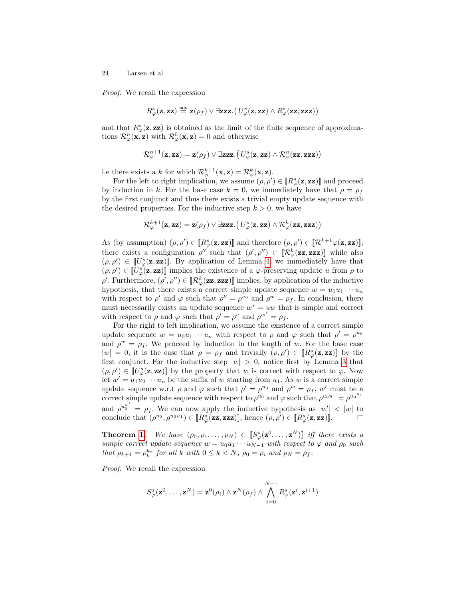Proof. We recall the expression

$$
R^s_{\varphi}(\mathbf{z}, \mathbf{z} \mathbf{z}) \stackrel{\text{min}}{=} \mathbf{z}(\rho_f) \lor \exists \mathbf{z} \mathbf{z} \mathbf{z}. \big(U^s_{\varphi}(\mathbf{z}, \mathbf{z} \mathbf{z}) \land R^s_{\varphi}(\mathbf{z} \mathbf{z}, \mathbf{z} \mathbf{z} \mathbf{z})\big)
$$

and that  $R^s_{\varphi}(\mathbf{z}, \mathbf{z} \mathbf{z})$  is obtained as the limit of the finite sequence of approximations  $\mathcal{R}_{\varphi}^n(\mathbf{x}, \mathbf{z})$  with  $\mathcal{R}_{\varphi}^0(\mathbf{x}, \mathbf{z}) = 0$  and otherwise

$$
\mathcal{R}_\varphi^{n+1}(\mathbf{z}, \mathbf{z} \mathbf{z}) = \mathbf{z}(\rho_f) \lor \exists \mathbf{z} \mathbf{z} \mathbf{z}. (U^s_\varphi(\mathbf{z}, \mathbf{z} \mathbf{z}) \land \mathcal{R}_\varphi^n(\mathbf{z} \mathbf{z}, \mathbf{z} \mathbf{z} \mathbf{z}))
$$

i.e there exists a k for which  $\mathcal{R}^{k+1}_{\varphi}(\mathbf{x}, \mathbf{z}) = \mathcal{R}^k_{\varphi}(\mathbf{x}, \mathbf{z}).$ 

For the left to right implication, we assume  $(\rho, \rho') \in [\![R^s_{\varphi}(\mathbf{z}, \mathbf{z}\mathbf{z})]\!]$  and proceed by induction in k. For the base case  $k = 0$ , we immediately have that  $\rho = \rho_f$ by the first conjunct and thus there exists a trivial empty update sequence with the desired properties. For the inductive step  $k > 0$ , we have

$$
\mathcal{R}_\varphi^{k+1}(\mathbf{z},\mathbf{z}\mathbf{z})=\mathbf{z}(\rho_f)\vee \exists \mathbf{z}\mathbf{z}\mathbf{z}. \big(\,U^s_\varphi(\mathbf{z},\mathbf{z}\mathbf{z})\wedge \mathcal{R}_\varphi^k(\mathbf{z}\mathbf{z},\mathbf{z}\mathbf{z}\mathbf{z})\big)
$$

As (by assumption)  $(\rho, \rho') \in [\![R^s_{\varphi}(\mathbf{z}, \mathbf{z} \mathbf{z})]\!]$  and therefore  $(\rho, \rho') \in [\![\mathcal{R}^{k+1}\varphi(\mathbf{z}, \mathbf{z} \mathbf{z})]\!]$ , there exists a configuration  $\rho''$  such that  $(\rho', \rho'') \in [\mathcal{R}^k_\varphi(\mathbf{zz}, \mathbf{zzz})]$  while also  $(\rho, \rho') \in [U^s_{\varphi}(\mathbf{z}, \mathbf{z}\mathbf{z})]$ . By application of Lemma [4,](#page-12-2) we immediately have that  $(\rho, \rho') \in \llbracket U_{\varphi}^{s}(\mathbf{z}, \mathbf{z} \mathbf{z}) \rrbracket$  implies the existence of a  $\varphi$ -preserving update u from  $\rho$  to ρ'. Furthermore,  $(\rho', \rho'') \in [\mathcal{R}_{\varphi}^k(\mathbf{zz}, \mathbf{zzz})]$  implies, by application of the inductive hypothesis, that there exists a correct simple update sequence  $w = u_0u_1 \cdots u_n$ with respect to  $\rho'$  and  $\varphi$  such that  $\rho'' = \rho^{u_0}$  and  $\rho^w = \rho_f$ . In conclusion, there must necessarily exists an update sequence  $w^* = uw$  that is simple and correct with respect to  $\rho$  and  $\varphi$  such that  $\rho' = \rho^u$  and  $\rho^{w^*} = \rho_f$ .

For the right to left implication, we assume the existence of a correct simple update sequence  $w = u_0 u_1 \cdots u_n$  with respect to  $\rho$  and  $\varphi$  such that  $\rho' = \rho^{u_0}$ and  $\rho^w = \rho_f$ . We proceed by induction in the length of w. For the base case  $|w| = 0$ , it is the case that  $\rho = \rho_f$  and trivially  $(\rho, \rho') \in [R^s_{\varphi}(\mathbf{z}, \mathbf{z} \mathbf{z})]$  by the first conjunct. For the inductive step  $|w| > 0$ , notice first by Lemma [3](#page-11-2) that  $(\rho, \rho') \in \llbracket U^s_{\varphi}(\mathbf{z}, \mathbf{z} \mathbf{z}) \rrbracket$  by the property that w is correct with respect to  $\varphi$ . Now let  $w' = u_1 u_2 \cdots u_n$  be the suffix of w starting from  $u_1$ . As w is a correct simple update sequence w.r.t  $\rho$  and  $\varphi$  such that  $\rho' = \rho^{u_0}$  and  $\rho^w = \rho_f$ , w' must be a correct simple update sequence with respect to  $\rho^{u_0}$  and  $\varphi$  such that  $\rho^{u_0u_1} = \rho^{u_0u_1}$ and  $\rho^{u_0^{w'}} = \rho_f$ . We can now apply the inductive hypothesis as  $|w'| < |w|$  to conclude that  $(\rho^{u_0}, \rho^{u_0 u_1}) \in [R^s_\varphi(\mathbf{z} \mathbf{z}, \mathbf{z} \mathbf{z} \mathbf{z})]$ , hence  $(\rho, \rho') \in [R^s_\varphi(\mathbf{z}, \mathbf{z} \mathbf{z})]$ .  $\Box$ 

**Theorem [1.](#page-12-3)** We have  $(\rho_0, \rho_1, \ldots, \rho_N) \in \llbracket S^s_{\varphi}(\mathbf{z}^0, \ldots, \mathbf{z}^N) \rrbracket$  iff there exists a simple correct update sequence  $w = u_0u_1 \cdots u_{N-1}$  with respect to  $\varphi$  and  $\rho_0$  such that  $\rho_{k+1} = \rho_k^{u_k}$  for all k with  $0 \le k < N$ ,  $\rho_0 = \rho_i$  and  $\rho_N = \rho_f$ .

Proof. We recall the expression

<span id="page-23-0"></span>
$$
S^s_{\varphi}(\mathbf{z}^0,\ldots,\mathbf{z}^N) = \mathbf{z}^0(\rho_i) \wedge \mathbf{z}^N(\rho_f) \wedge \bigwedge_{i=0}^{N-1} R^s_{\varphi}(\mathbf{z}^i, \mathbf{z}^{i+1})
$$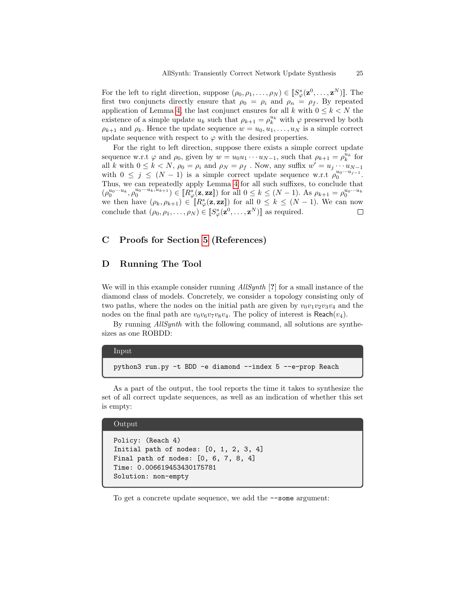For the left to right direction, suppose  $(\rho_0, \rho_1, \ldots, \rho_N) \in [S^s_{\varphi}(\mathbf{z}^0, \ldots, \mathbf{z}^N)]$ . The first two conjuncts directly ensure that  $\rho_0 = \rho_i$  and  $\rho_n = \rho_f$ . By repeated application of Lemma [4,](#page-12-2) the last conjunct ensures for all k with  $0 \leq k \leq N$  the existence of a simple update  $u_k$  such that  $\rho_{k+1} = \rho_k^{u_k}$  with  $\varphi$  preserved by both  $\rho_{k+1}$  and  $\rho_k$ . Hence the update sequence  $w = u_0, u_1, \ldots, u_N$  is a simple correct update sequence with respect to  $\varphi$  with the desired properties.

For the right to left direction, suppose there exists a simple correct update sequence w.r.t  $\varphi$  and  $\rho_0$ , given by  $w = u_0 u_1 \cdots u_{N-1}$ , such that  $\rho_{k+1} = \rho_k^{u_k}$  for all k with  $0 \le k < N$ ,  $\rho_0 = \rho_i$  and  $\rho_N = \rho_f$ . Now, any suffix  $w' = u_j \cdots u_{N-1}$ with  $0 \leq j \leq (N-1)$  is a simple correct update sequence w.r.t  $\rho_0^{u_0 \cdots u_{j-1}}$ . Thus, we can repeatedly apply Lemma [4](#page-12-2) for all such suffixes, to conclude that  $(\rho_0^{u_0 \cdots u_k}, \rho_0^{u_0 \cdots u_k, u_{k+1}}) \in [\![R_{\varphi}^s(\mathbf{z}, \mathbf{z} \mathbf{z}]\!] \!]$  for all  $0 \leq k \leq (N-1)$ . As  $\rho_{k+1} = \rho_0^{u_0 \cdots u_k}$ we then have  $(\rho_k, \rho_{k+1}) \in [R^s_{\varphi}(\mathbf{z}, \mathbf{z}\mathbf{z}])$  for all  $0 \leq k \leq (N-1)$ . We can now conclude that  $(\rho_0, \rho_1, \ldots, \rho_N) \in \llbracket S^s_{\varphi}(\mathbf{z}^0, \ldots, \mathbf{z}^N) \rrbracket$  as required.  $\Box$ 

## C Proofs for Section [5](#page-16-16) (References)

## D Running The Tool

We will in this example consider running AllSynth [?] for a small instance of the diamond class of models. Concretely, we consider a topology consisting only of two paths, where the nodes on the initial path are given by  $v_0v_1v_2v_3v_4$  and the nodes on the final path are  $v_0v_6v_7v_8v_4$ . The policy of interest is Reach $(v_4)$ .

By running AllSynth with the following command, all solutions are synthesizes as one ROBDD:

#### Input

```
python3 run.py -t BDD -e diamond --index 5 --e-prop Reach
```
As a part of the output, the tool reports the time it takes to synthesize the set of all correct update sequences, as well as an indication of whether this set is empty:

#### Output

```
Policy: (Reach 4)
Initial path of nodes: [0, 1, 2, 3, 4]
Final path of nodes: [0, 6, 7, 8, 4]
Time: 0.006619453430175781
Solution: non-empty
```
To get a concrete update sequence, we add the  $\sim$ -some argument: